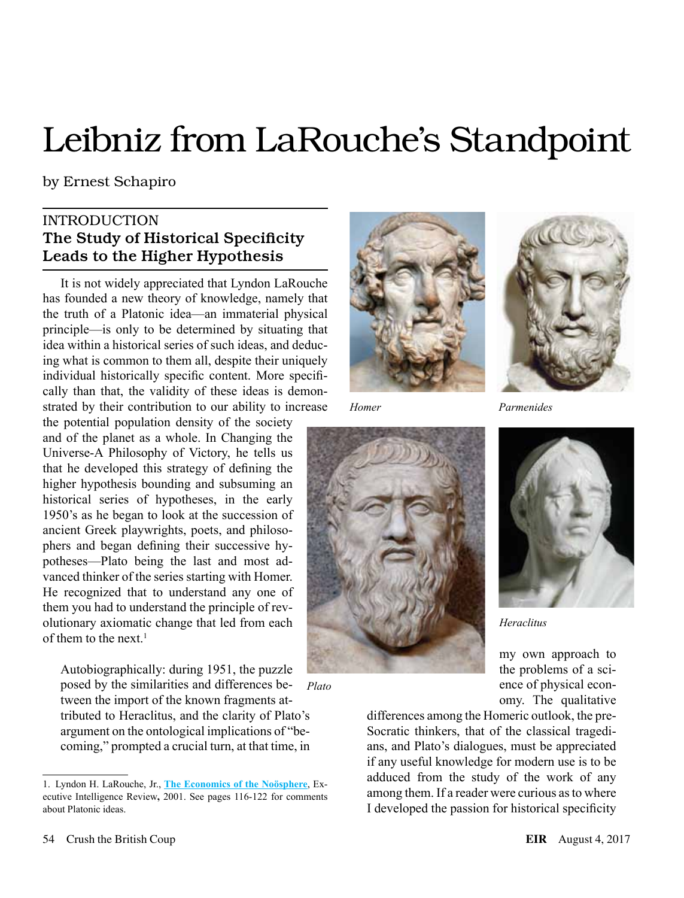# Leibniz from LaRouche's Standpoint

by Ernest Schapiro

## **INTRODUCTION** The Study of Historical Specificity Leads to the Higher Hypothesis

It is not widely appreciated that Lyndon LaRouche has founded a new theory of knowledge, namely that the truth of a Platonic idea—an immaterial physical principle—is only to be determined by situating that idea within a historical series of such ideas, and deducing what is common to them all, despite their uniquely individual historically specific content. More specifically than that, the validity of these ideas is demonstrated by their contribution to our ability to increase

the potential population density of the society and of the planet as a whole. In Changing the Universe-A Philosophy of Victory, he tells us that he developed this strategy of defining the higher hypothesis bounding and subsuming an historical series of hypotheses, in the early 1950's as he began to look at the succession of ancient Greek playwrights, poets, and philosophers and began defining their successive hypotheses—Plato being the last and most advanced thinker of the series starting with Homer. He recognized that to understand any one of them you had to understand the principle of revolutionary axiomatic change that led from each of them to the next<sup> $1$ </sup>

Autobiographically: during 1951, the puzzle posed by the similarities and differences between the import of the known fragments attributed to Heraclitus, and the clarity of Plato's argument on the ontological implications of "becoming," prompted a crucial turn, at that time, in *Plato*



*Homer*





*Parmenides*



*Heraclitus*

my own approach to the problems of a science of physical economy. The qualitative

differences among the Homeric outlook, the pre-Socratic thinkers, that of the classical tragedians, and Plato's dialogues, must be appreciated if any useful knowledge for modern use is to be adduced from the study of the work of any among them. If a reader were curious as to where I developed the passion for historical specificity

<sup>1.</sup> Lyndon H. LaRouche, Jr., **[The Economics of the Noösphere](https://store.larouchepub.com/produc t-p/eirbk-2001-2-0-0-epub.htm)**, Executive Intelligence Review**,** 2001. See pages 116-122 for comments about Platonic ideas.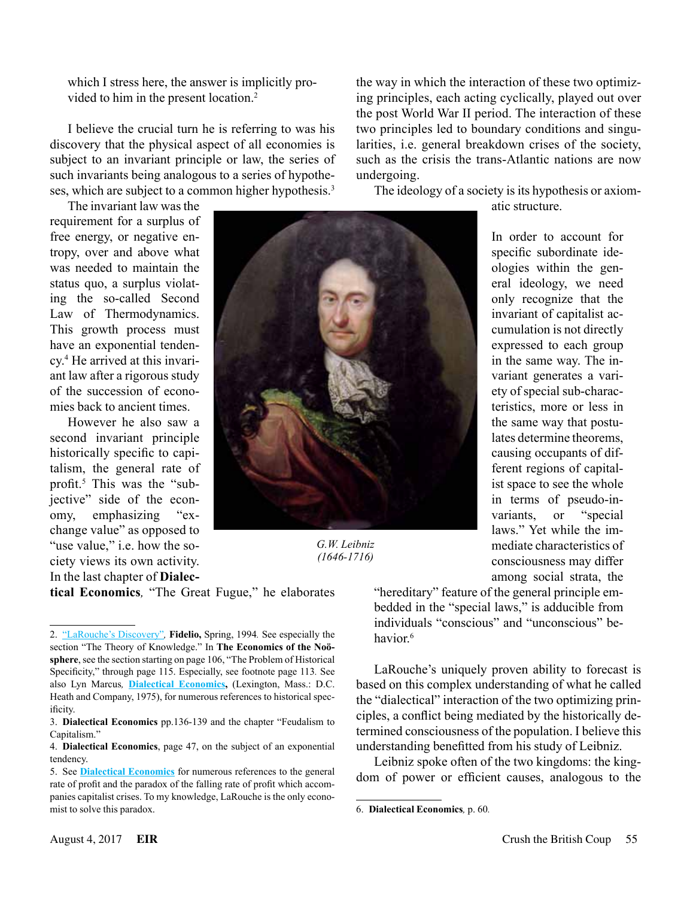which I stress here, the answer is implicitly provided to him in the present location.<sup>2</sup>

I believe the crucial turn he is referring to was his discovery that the physical aspect of all economies is subject to an invariant principle or law, the series of such invariants being analogous to a series of hypotheses, which are subject to a common higher hypothesis.<sup>3</sup>

The invariant law was the requirement for a surplus of free energy, or negative entropy, over and above what was needed to maintain the status quo, a surplus violating the so-called Second Law of Thermodynamics. This growth process must have an exponential tendency.4 He arrived at this invariant law after a rigorous study of the succession of economies back to ancient times.

However he also saw a second invariant principle historically specific to capitalism, the general rate of profit.<sup>5</sup> This was the "subjective" side of the economy, emphasizing "exchange value" as opposed to "use value," i.e. how the society views its own activity. In the last chapter of **Dialec-**



*G.W. Leibniz (1646-1716)*

the way in which the interaction of these two optimizing principles, each acting cyclically, played out over the post World War II period. The interaction of these two principles led to boundary conditions and singularities, i.e. general breakdown crises of the society, such as the crisis the trans-Atlantic nations are now undergoing.

The ideology of a society is its hypothesis or axiomatic structure.

> In order to account for specific subordinate ideologies within the general ideology, we need only recognize that the invariant of capitalist accumulation is not directly expressed to each group in the same way. The invariant generates a variety of special sub-characteristics, more or less in the same way that postulates determine theorems, causing occupants of different regions of capitalist space to see the whole in terms of pseudo-invariants, or "special laws." Yet while the immediate characteristics of consciousness may differ among social strata, the

**tical Economics***,* "The Great Fugue," he elaborates

"hereditary" feature of the general principle embedded in the "special laws," is adducible from individuals "conscious" and "unconscious" behavior $6$ 

LaRouche's uniquely proven ability to forecast is based on this complex understanding of what he called the "dialectical" interaction of the two optimizing principles, a conflict being mediated by the historically determined consciousness of the population. I believe this understanding benefitted from his study of Leibniz.

Leibniz spoke often of the two kingdoms: the kingdom of power or efficient causes, analogous to the

<sup>2.</sup> ["LaRouche's Discovery"](http://www.schillerinstitute.org/fidelio_archive/1994/fidv03n01-1994Sp/fidv03n01-1994Sp _037-on_larouches_discovery-lar.pdf)*,* **Fidelio,** Spring, 1994*.* See especially the section "The Theory of Knowledge." In **The Economics of the Noösphere**, see the section starting on page 106, "The Problem of Historical Specificity," through page 115. Especially, see footnote page 113*.* See also Lyn Marcus*,* **[Dialectical Economics,](https://archive.org/details/DialecticalEconomicsAnIntroductionToMarxistPoliticalEconomy)** (Lexington, Mass.: D.C. Heath and Company, 1975), for numerous references to historical specificity.

<sup>3.</sup> **Dialectical Economics** pp.136-139 and the chapter "Feudalism to Capitalism."

<sup>4.</sup> **Dialectical Economics**, page 47, on the subject of an exponential tendency.

<sup>5.</sup> See **[Dialectical Economics](https://archive.org/details/DialecticalEconomicsAnIntroductionToMarxistPoliticalEconomy)** for numerous references to the general rate of profit and the paradox of the falling rate of profit which accompanies capitalist crises. To my knowledge, LaRouche is the only economist to solve this paradox.

<sup>6.</sup> **Dialectical Economics***,* p. 60*.*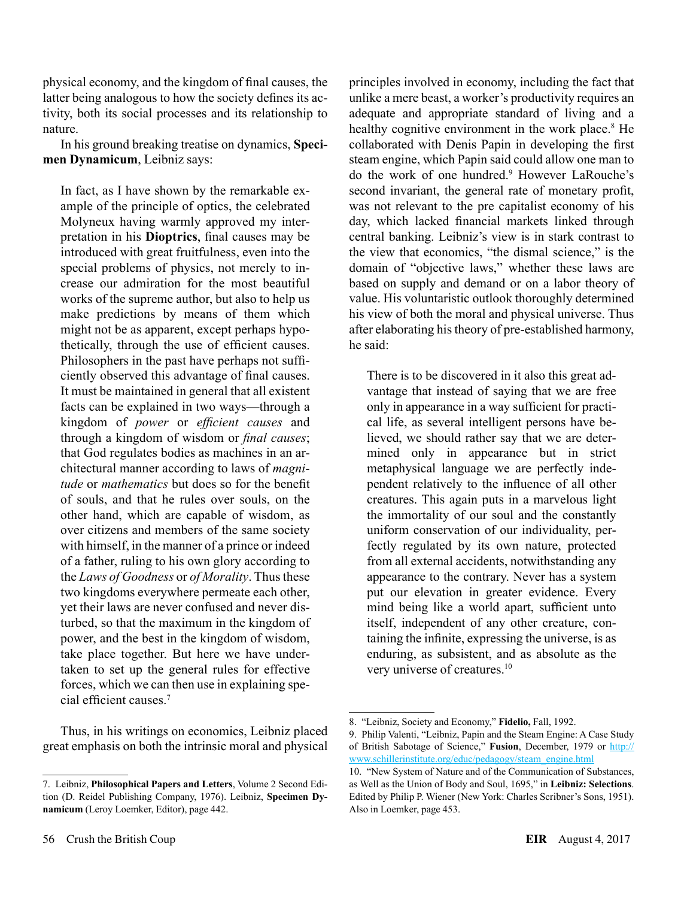physical economy, and the kingdom of final causes, the latter being analogous to how the society defines its activity, both its social processes and its relationship to nature.

In his ground breaking treatise on dynamics, **Specimen Dynamicum**, Leibniz says:

In fact, as I have shown by the remarkable example of the principle of optics, the celebrated Molyneux having warmly approved my interpretation in his **Dioptrics**, final causes may be introduced with great fruitfulness, even into the special problems of physics, not merely to increase our admiration for the most beautiful works of the supreme author, but also to help us make predictions by means of them which might not be as apparent, except perhaps hypothetically, through the use of efficient causes. Philosophers in the past have perhaps not sufficiently observed this advantage of final causes. It must be maintained in general that all existent facts can be explained in two ways—through a kingdom of *power* or *efficient causes* and through a kingdom of wisdom or *final causes*; that God regulates bodies as machines in an architectural manner according to laws of *magnitude* or *mathematics* but does so for the benefit of souls, and that he rules over souls, on the other hand, which are capable of wisdom, as over citizens and members of the same society with himself, in the manner of a prince or indeed of a father, ruling to his own glory according to the *Laws of Goodness* or *of Morality*. Thus these two kingdoms everywhere permeate each other, yet their laws are never confused and never disturbed, so that the maximum in the kingdom of power, and the best in the kingdom of wisdom, take place together. But here we have undertaken to set up the general rules for effective forces, which we can then use in explaining special efficient causes.<sup>7</sup>

Thus, in his writings on economics, Leibniz placed great emphasis on both the intrinsic moral and physical

principles involved in economy, including the fact that unlike a mere beast, a worker's productivity requires an adequate and appropriate standard of living and a healthy cognitive environment in the work place.<sup>8</sup> He collaborated with Denis Papin in developing the first steam engine, which Papin said could allow one man to do the work of one hundred.9 However LaRouche's second invariant, the general rate of monetary profit, was not relevant to the pre capitalist economy of his day, which lacked financial markets linked through central banking. Leibniz's view is in stark contrast to the view that economics, "the dismal science," is the domain of "objective laws," whether these laws are based on supply and demand or on a labor theory of value. His voluntaristic outlook thoroughly determined his view of both the moral and physical universe. Thus after elaborating his theory of pre-established harmony, he said:

There is to be discovered in it also this great advantage that instead of saying that we are free only in appearance in a way sufficient for practical life, as several intelligent persons have believed, we should rather say that we are determined only in appearance but in strict metaphysical language we are perfectly independent relatively to the influence of all other creatures. This again puts in a marvelous light the immortality of our soul and the constantly uniform conservation of our individuality, perfectly regulated by its own nature, protected from all external accidents, notwithstanding any appearance to the contrary. Never has a system put our elevation in greater evidence. Every mind being like a world apart, sufficient unto itself, independent of any other creature, containing the infinite, expressing the universe, is as enduring, as subsistent, and as absolute as the very universe of creatures.10

<sup>7.</sup> Leibniz, **Philosophical Papers and Letters**, Volume 2 Second Edition (D. Reidel Publishing Company, 1976). Leibniz, **Specimen Dynamicum** (Leroy Loemker, Editor), page 442.

<sup>8.</sup> "Leibniz, Society and Economy," **Fidelio,** Fall, 1992.

<sup>9.</sup> Philip Valenti, "Leibniz, Papin and the Steam Engine: A Case Study of British Sabotage of Science," **Fusion**, December, 1979 or [http://](http://www.schillerinstitute.org/educ/pedagogy/steam_engine.html) [www.schillerinstitute.org/educ/pedagogy/steam\\_engine.html](http://www.schillerinstitute.org/educ/pedagogy/steam_engine.html)

<sup>10.</sup> "New System of Nature and of the Communication of Substances, as Well as the Union of Body and Soul, 1695," in **Leibniz: Selections**. Edited by Philip P. Wiener (New York: Charles Scribner's Sons, 1951). Also in Loemker, page 453.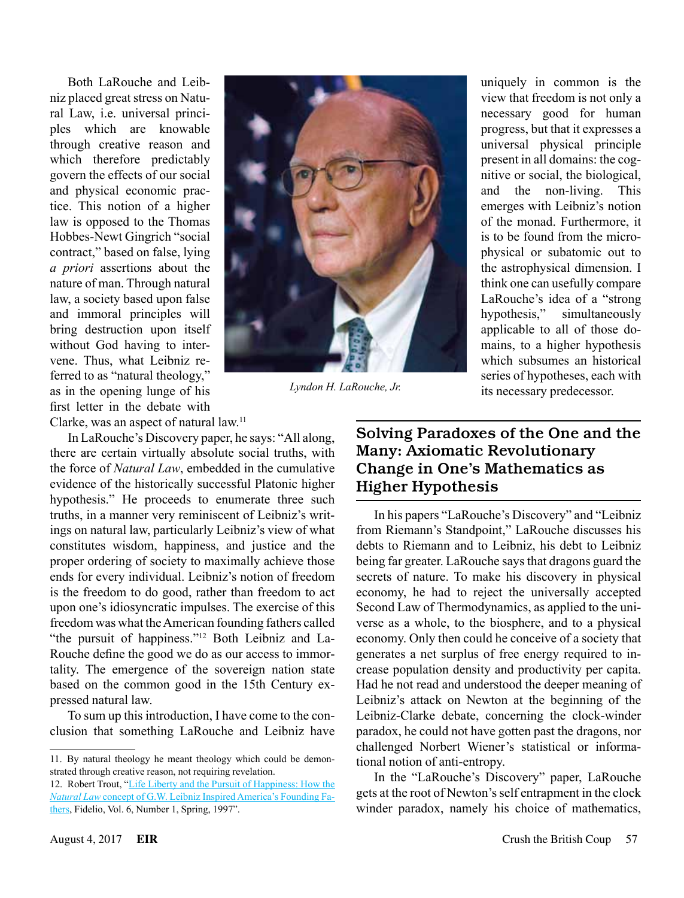Both LaRouche and Leibniz placed great stress on Natural Law, i.e. universal principles which are knowable through creative reason and which therefore predictably govern the effects of our social and physical economic practice. This notion of a higher law is opposed to the Thomas Hobbes-Newt Gingrich "social contract," based on false, lying *a priori* assertions about the nature of man. Through natural law, a society based upon false and immoral principles will bring destruction upon itself without God having to intervene. Thus, what Leibniz referred to as "natural theology," as in the opening lunge of his first letter in the debate with



*Lyndon H. LaRouche, Jr.*

uniquely in common is the view that freedom is not only a necessary good for human progress, but that it expresses a universal physical principle present in all domains: the cognitive or social, the biological, and the non-living. This emerges with Leibniz's notion of the monad. Furthermore, it is to be found from the microphysical or subatomic out to the astrophysical dimension. I think one can usefully compare LaRouche's idea of a "strong hypothesis," simultaneously applicable to all of those domains, to a higher hypothesis which subsumes an historical series of hypotheses, each with its necessary predecessor.

Clarke, was an aspect of natural law.11

In LaRouche's Discovery paper, he says: "All along, there are certain virtually absolute social truths, with the force of *Natural Law*, embedded in the cumulative evidence of the historically successful Platonic higher hypothesis." He proceeds to enumerate three such truths, in a manner very reminiscent of Leibniz's writings on natural law, particularly Leibniz's view of what constitutes wisdom, happiness, and justice and the proper ordering of society to maximally achieve those ends for every individual. Leibniz's notion of freedom is the freedom to do good, rather than freedom to act upon one's idiosyncratic impulses. The exercise of this freedom was what the American founding fathers called "the pursuit of happiness."12 Both Leibniz and La-Rouche define the good we do as our access to immortality. The emergence of the sovereign nation state based on the common good in the 15th Century expressed natural law.

To sum up this introduction, I have come to the conclusion that something LaRouche and Leibniz have

### Solving Paradoxes of the One and the Many: Axiomatic Revolutionary Change in One's Mathematics as Higher Hypothesis

In his papers "LaRouche's Discovery" and "Leibniz from Riemann's Standpoint," LaRouche discusses his debts to Riemann and to Leibniz, his debt to Leibniz being far greater. LaRouche says that dragons guard the secrets of nature. To make his discovery in physical economy, he had to reject the universally accepted Second Law of Thermodynamics, as applied to the universe as a whole, to the biosphere, and to a physical economy. Only then could he conceive of a society that generates a net surplus of free energy required to increase population density and productivity per capita. Had he not read and understood the deeper meaning of Leibniz's attack on Newton at the beginning of the Leibniz-Clarke debate, concerning the clock-winder paradox, he could not have gotten past the dragons, nor challenged Norbert Wiener's statistical or informational notion of anti-entropy.

In the "LaRouche's Discovery" paper, LaRouche gets at the root of Newton's self entrapment in the clock winder paradox, namely his choice of mathematics,

<sup>11.</sup> By natural theology he meant theology which could be demonstrated through creative reason, not requiring revelation.

<sup>12.</sup> Robert Trout, ["Life Liberty and the Pursuit of Happiness: How the](http://www.schillerinstitute.org/fid_97-01/971_vattel.html) *Natural Law* [concept of G.W. Leibniz Inspired America's Founding Fa](http://www.schillerinstitute.org/fid_97-01/971_vattel.html)[thers,](http://www.schillerinstitute.org/fid_97-01/971_vattel.html) Fidelio, Vol. 6, Number 1, Spring, 1997".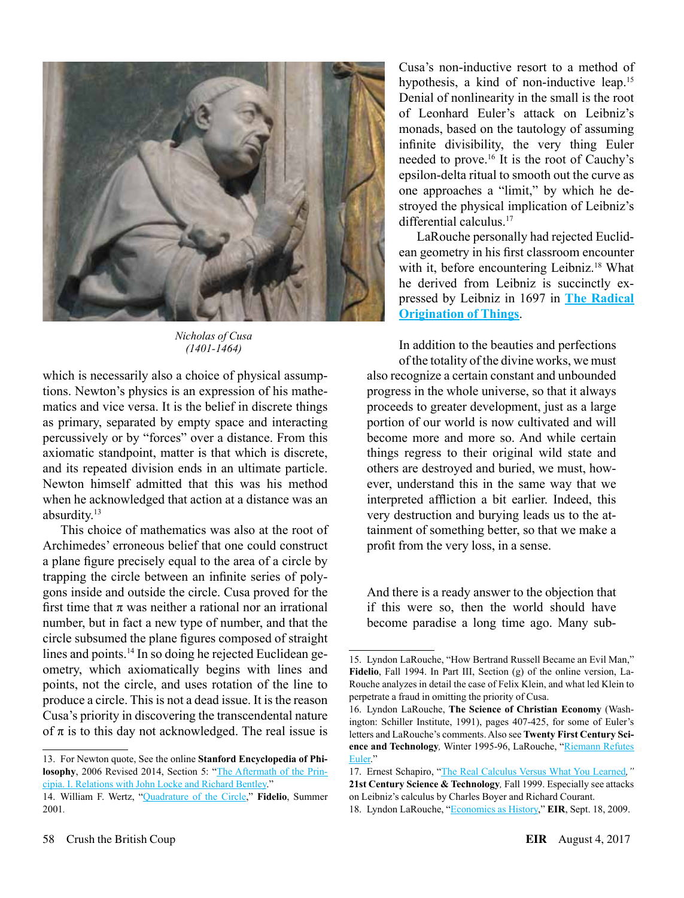

*Nicholas of Cusa (1401-1464)*

which is necessarily also a choice of physical assumptions. Newton's physics is an expression of his mathematics and vice versa. It is the belief in discrete things as primary, separated by empty space and interacting percussively or by "forces" over a distance. From this axiomatic standpoint, matter is that which is discrete, and its repeated division ends in an ultimate particle. Newton himself admitted that this was his method when he acknowledged that action at a distance was an absurdity.13

This choice of mathematics was also at the root of Archimedes' erroneous belief that one could construct a plane figure precisely equal to the area of a circle by trapping the circle between an infinite series of polygons inside and outside the circle. Cusa proved for the first time that  $\pi$  was neither a rational nor an irrational number, but in fact a new type of number, and that the circle subsumed the plane figures composed of straight lines and points.14 In so doing he rejected Euclidean geometry, which axiomatically begins with lines and points, not the circle, and uses rotation of the line to produce a circle. This is not a dead issue. It is the reason Cusa's priority in discovering the transcendental nature of  $\pi$  is to this day not acknowledged. The real issue is

Cusa's non-inductive resort to a method of hypothesis, a kind of non-inductive leap.<sup>15</sup> Denial of nonlinearity in the small is the root of Leonhard Euler's attack on Leibniz's monads, based on the tautology of assuming infinite divisibility, the very thing Euler needed to prove.16 It is the root of Cauchy's epsilon-delta ritual to smooth out the curve as one approaches a "limit," by which he destroyed the physical implication of Leibniz's differential calculus<sup>17</sup>

LaRouche personally had rejected Euclidean geometry in his first classroom encounter with it, before encountering Leibniz.<sup>18</sup> What he derived from Leibniz is succinctly expressed by Leibniz in 1697 in **[The Radical](http://www.leibniz-translations.com/ultimateorigination.htm)  [Origination of Things](http://www.leibniz-translations.com/ultimateorigination.htm)**.

In addition to the beauties and perfections

of the totality of the divine works, we must also recognize a certain constant and unbounded progress in the whole universe, so that it always proceeds to greater development, just as a large portion of our world is now cultivated and will become more and more so. And while certain things regress to their original wild state and others are destroyed and buried, we must, however, understand this in the same way that we interpreted affliction a bit earlier. Indeed, this very destruction and burying leads us to the attainment of something better, so that we make a profit from the very loss, in a sense.

And there is a ready answer to the objection that if this were so, then the world should have become paradise a long time ago. Many sub-

<sup>13.</sup> For Newton quote, See the online **Stanford Encyclopedia of Philosophy**, 2006 Revised 2014, Section 5: ["The Aftermath of the Prin](http://plato.stanford.edu/entries/newton-philosophy)[cipia. I. Relations with John Locke and Richard Bentley](http://plato.stanford.edu/entries/newton-philosophy)."

<sup>14.</sup> William F. Wertz, "[Quadrature of the Circle](http://www.schillerinstitute.org/fidelio_archive/2001/fidv10n02-2001Su/fidv10n02-2001Su_030-nicolaus_of_cusas_on_the_quadrat.pdf)," **Fidelio**, Summer 2001*.*

<sup>15.</sup> Lyndon LaRouche, "How Bertrand Russell Became an Evil Man," **Fidelio**, Fall 1994. In Part III, Section (g) of the online version, La-Rouche analyzes in detail the case of Felix Klein, and what led Klein to perpetrate a fraud in omitting the priority of Cusa.

<sup>16.</sup> Lyndon LaRouche, **The Science of Christian Economy** (Washington: Schiller Institute, 1991), pages 407-425, for some of Euler's letters and LaRouche's comments. Also see **Twenty First Century Science and Technology***,* Winter 1995-96, LaRouche, ["Riemann Refutes](http://www.21stcenturysciencetech.com/Subscriptions/Archive/1995_W.pdf) [Euler.](http://www.21stcenturysciencetech.com/Subscriptions/Archive/1995_W.pdf)"

<sup>17.</sup> Ernest Schapiro, "[The Real Calculus Versus What You Learned](http://www.21stcenturysciencetech.com/articles/1999/The_Real_Calculus.pdf)*,"*  **21st Century Science & Technology***,* Fall 1999. Especially see attacks on Leibniz's calculus by Charles Boyer and Richard Courant.

<sup>18.</sup> Lyndon LaRouche, "[Economics as History](http://www.larouchepub.com/eiw/public/2009/2009_30-39/2009-36/pdf/04-128_3636.pdf)," **EIR**, Sept. 18, 2009.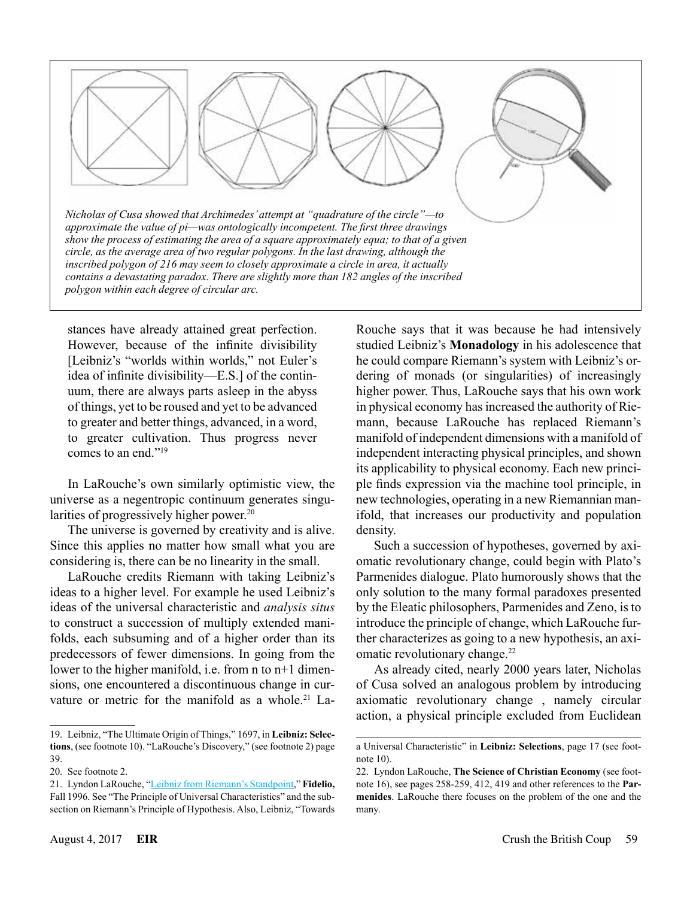

stances have already attained great perfection. However, because of the infinite divisibility [Leibniz's "worlds within worlds," not Euler's idea of infinite divisibility—E.S.] of the continuum, there are always parts asleep in the abyss of things, yet to be roused and yet to be advanced to greater and better things, advanced, in a word, to greater cultivation. Thus progress never comes to an end<sup>"19</sup>

In LaRouche's own similarly optimistic view, the universe as a negentropic continuum generates singularities of progressively higher power.<sup>20</sup>

The universe is governed by creativity and is alive. Since this applies no matter how small what you are considering is, there can be no linearity in the small.

LaRouche credits Riemann with taking Leibniz's ideas to a higher level. For example he used Leibniz's ideas of the universal characteristic and *analysis situs* to construct a succession of multiply extended manifolds, each subsuming and of a higher order than its predecessors of fewer dimensions. In going from the lower to the higher manifold, i.e. from n to n+1 dimensions, one encountered a discontinuous change in curvature or metric for the manifold as a whole.<sup>21</sup> LaRouche says that it was because he had intensively studied Leibniz's **Monadology** in his adolescence that he could compare Riemann's system with Leibniz's ordering of monads (or singularities) of increasingly higher power. Thus, LaRouche says that his own work in physical economy has increased the authority of Riemann, because LaRouche has replaced Riemann's manifold of independent dimensions with a manifold of independent interacting physical principles, and shown its applicability to physical economy. Each new principle finds expression via the machine tool principle, in new technologies, operating in a new Riemannian manifold, that increases our productivity and population density.

Such a succession of hypotheses, governed by axiomatic revolutionary change, could begin with Plato's Parmenides dialogue. Plato humorously shows that the only solution to the many formal paradoxes presented by the Eleatic philosophers, Parmenides and Zeno, is to introduce the principle of change, which LaRouche further characterizes as going to a new hypothesis, an axiomatic revolutionary change.<sup>22</sup>

As already cited, nearly 2000 years later, Nicholas of Cusa solved an analogous problem by introducing axiomatic revolutionary change , namely circular action, a physical principle excluded from Euclidean

<sup>19.</sup> Leibniz, "The Ultimate Origin of Things," 1697, in **Leibniz: Selections**, (see footnote 10). "LaRouche's Discovery," (see footnote 2) page 39.

<sup>20.</sup> See footnote 2.

<sup>21.</sup> Lyndon LaRouche, "[Leibniz from Riemann's Standpoint](http://www.schillerinstitute.org/fid_91-96/963A_lieb_rieman.html)," **Fidelio,** Fall 1996. See "The Principle of Universal Characteristics" and the subsection on Riemann's Principle of Hypothesis. Also, Leibniz, "Towards

a Universal Characteristic" in **Leibniz: Selections**, page 17 (see footnote 10).

<sup>22.</sup> Lyndon LaRouche, **The Science of Christian Economy** (see footnote 16), see pages 258-259, 412, 419 and other references to the **Parmenides**. LaRouche there focuses on the problem of the one and the many.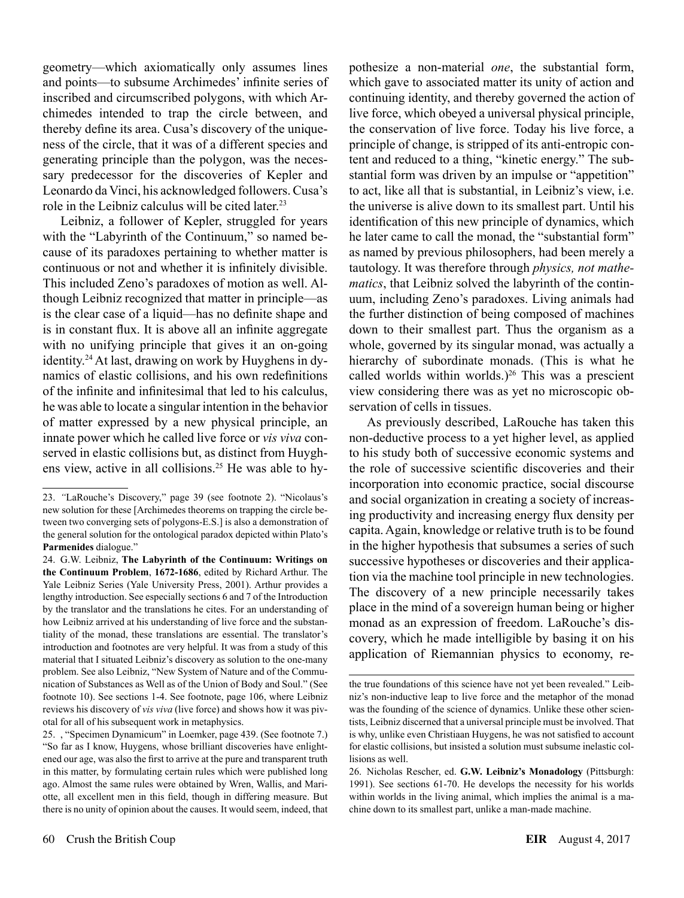geometry—which axiomatically only assumes lines and points—to subsume Archimedes' infinite series of inscribed and circumscribed polygons, with which Archimedes intended to trap the circle between, and thereby define its area. Cusa's discovery of the uniqueness of the circle, that it was of a different species and generating principle than the polygon, was the necessary predecessor for the discoveries of Kepler and Leonardo da Vinci, his acknowledged followers. Cusa's role in the Leibniz calculus will be cited later.<sup>23</sup>

Leibniz, a follower of Kepler, struggled for years with the "Labyrinth of the Continuum," so named because of its paradoxes pertaining to whether matter is continuous or not and whether it is infinitely divisible. This included Zeno's paradoxes of motion as well. Although Leibniz recognized that matter in principle—as is the clear case of a liquid—has no definite shape and is in constant flux. It is above all an infinite aggregate with no unifying principle that gives it an on-going identity.24 At last, drawing on work by Huyghens in dynamics of elastic collisions, and his own redefinitions of the infinite and infinitesimal that led to his calculus, he was able to locate a singular intention in the behavior of matter expressed by a new physical principle, an innate power which he called live force or *vis viva* conserved in elastic collisions but, as distinct from Huyghens view, active in all collisions.25 He was able to hypothesize a non-material *one*, the substantial form, which gave to associated matter its unity of action and continuing identity, and thereby governed the action of live force, which obeyed a universal physical principle, the conservation of live force. Today his live force, a principle of change, is stripped of its anti-entropic content and reduced to a thing, "kinetic energy." The substantial form was driven by an impulse or "appetition" to act, like all that is substantial, in Leibniz's view, i.e. the universe is alive down to its smallest part. Until his identification of this new principle of dynamics, which he later came to call the monad, the "substantial form" as named by previous philosophers, had been merely a tautology. It was therefore through *physics, not mathematics*, that Leibniz solved the labyrinth of the continuum, including Zeno's paradoxes. Living animals had the further distinction of being composed of machines down to their smallest part. Thus the organism as a whole, governed by its singular monad, was actually a hierarchy of subordinate monads. (This is what he called worlds within worlds.) $26$  This was a prescient view considering there was as yet no microscopic observation of cells in tissues.

As previously described, LaRouche has taken this non-deductive process to a yet higher level, as applied to his study both of successive economic systems and the role of successive scientific discoveries and their incorporation into economic practice, social discourse and social organization in creating a society of increasing productivity and increasing energy flux density per capita. Again, knowledge or relative truth is to be found in the higher hypothesis that subsumes a series of such successive hypotheses or discoveries and their application via the machine tool principle in new technologies. The discovery of a new principle necessarily takes place in the mind of a sovereign human being or higher monad as an expression of freedom. LaRouche's discovery, which he made intelligible by basing it on his application of Riemannian physics to economy, re-

<sup>23.</sup> *"*LaRouche's Discovery," page 39 (see footnote 2). "Nicolaus's new solution for these [Archimedes theorems on trapping the circle between two converging sets of polygons-E.S.] is also a demonstration of the general solution for the ontological paradox depicted within Plato's **Parmenides** dialogue."

<sup>24.</sup> G.W. Leibniz, **The Labyrinth of the Continuum: Writings on the Continuum Problem**, **1672-1686**, edited by Richard Arthur. The Yale Leibniz Series (Yale University Press, 2001). Arthur provides a lengthy introduction. See especially sections 6 and 7 of the Introduction by the translator and the translations he cites. For an understanding of how Leibniz arrived at his understanding of live force and the substantiality of the monad, these translations are essential. The translator's introduction and footnotes are very helpful. It was from a study of this material that I situated Leibniz's discovery as solution to the one-many problem. See also Leibniz, "New System of Nature and of the Communication of Substances as Well as of the Union of Body and Soul." (See footnote 10). See sections 1-4. See footnote, page 106, where Leibniz reviews his discovery of *vis viva* (live force) and shows how it was pivotal for all of his subsequent work in metaphysics.

<sup>25.</sup> , "Specimen Dynamicum" in Loemker, page 439. (See footnote 7.) "So far as I know, Huygens, whose brilliant discoveries have enlightened our age, was also the first to arrive at the pure and transparent truth in this matter, by formulating certain rules which were published long ago. Almost the same rules were obtained by Wren, Wallis, and Mariotte, all excellent men in this field, though in differing measure. But there is no unity of opinion about the causes. It would seem, indeed, that

the true foundations of this science have not yet been revealed." Leibniz's non-inductive leap to live force and the metaphor of the monad was the founding of the science of dynamics. Unlike these other scientists, Leibniz discerned that a universal principle must be involved. That is why, unlike even Christiaan Huygens, he was not satisfied to account for elastic collisions, but insisted a solution must subsume inelastic collisions as well.

<sup>26.</sup> Nicholas Rescher, ed. **G.W. Leibniz's Monadology** (Pittsburgh: 1991). See sections 61-70. He develops the necessity for his worlds within worlds in the living animal, which implies the animal is a machine down to its smallest part, unlike a man-made machine.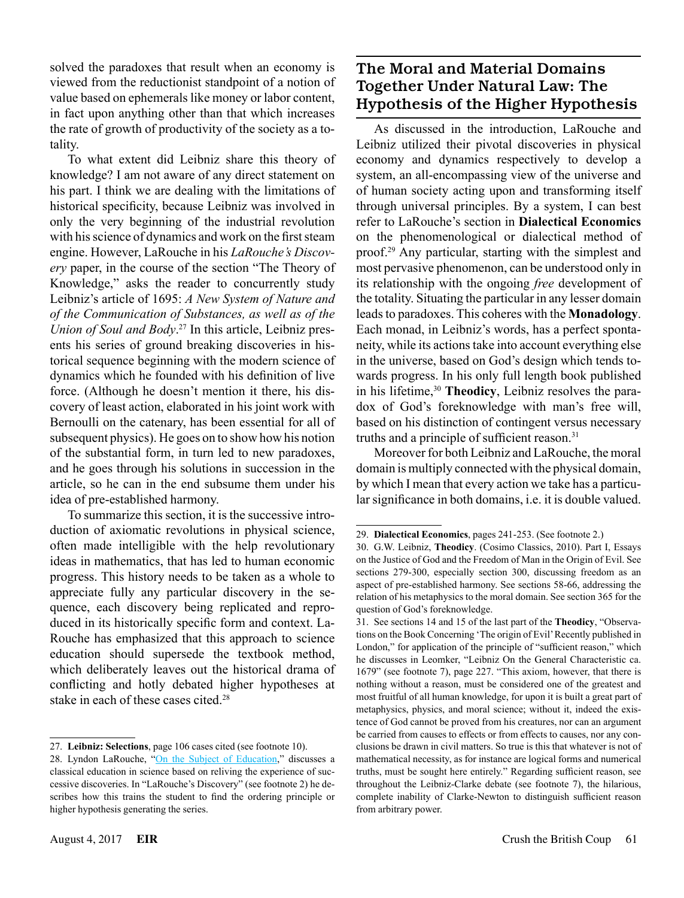solved the paradoxes that result when an economy is viewed from the reductionist standpoint of a notion of value based on ephemerals like money or labor content, in fact upon anything other than that which increases the rate of growth of productivity of the society as a totality.

To what extent did Leibniz share this theory of knowledge? I am not aware of any direct statement on his part. I think we are dealing with the limitations of historical specificity, because Leibniz was involved in only the very beginning of the industrial revolution with his science of dynamics and work on the first steam engine. However, LaRouche in his *LaRouche's Discovery* paper, in the course of the section "The Theory of Knowledge," asks the reader to concurrently study Leibniz's article of 1695: *A New System of Nature and of the Communication of Substances, as well as of the Union of Soul and Body*. 27 In this article, Leibniz presents his series of ground breaking discoveries in historical sequence beginning with the modern science of dynamics which he founded with his definition of live force. (Although he doesn't mention it there, his discovery of least action, elaborated in his joint work with Bernoulli on the catenary, has been essential for all of subsequent physics). He goes on to show how his notion of the substantial form, in turn led to new paradoxes, and he goes through his solutions in succession in the article, so he can in the end subsume them under his idea of pre-established harmony.

To summarize this section, it is the successive introduction of axiomatic revolutions in physical science, often made intelligible with the help revolutionary ideas in mathematics, that has led to human economic progress. This history needs to be taken as a whole to appreciate fully any particular discovery in the sequence, each discovery being replicated and reproduced in its historically specific form and context. La-Rouche has emphasized that this approach to science education should supersede the textbook method, which deliberately leaves out the historical drama of conflicting and hotly debated higher hypotheses at stake in each of these cases cited.<sup>28</sup>

## The Moral and Material Domains Together Under Natural Law: The Hypothesis of the Higher Hypothesis

As discussed in the introduction, LaRouche and Leibniz utilized their pivotal discoveries in physical economy and dynamics respectively to develop a system, an all-encompassing view of the universe and of human society acting upon and transforming itself through universal principles. By a system, I can best refer to LaRouche's section in **Dialectical Economics** on the phenomenological or dialectical method of proof.29 Any particular, starting with the simplest and most pervasive phenomenon, can be understood only in its relationship with the ongoing *free* development of the totality. Situating the particular in any lesser domain leads to paradoxes. This coheres with the **Monadology**. Each monad, in Leibniz's words, has a perfect spontaneity, while its actions take into account everything else in the universe, based on God's design which tends towards progress. In his only full length book published in his lifetime,<sup>30</sup> Theodicy, Leibniz resolves the paradox of God's foreknowledge with man's free will, based on his distinction of contingent versus necessary truths and a principle of sufficient reason.<sup>31</sup>

Moreover for both Leibniz and LaRouche, the moral domain is multiply connected with the physical domain, by which I mean that every action we take has a particular significance in both domains, i.e. it is double valued.

<sup>27.</sup> **Leibniz: Selections**, page 106 cases cited (see footnote 10).

<sup>28.</sup> Lyndon LaRouche, "[On the Subject of Education](http://www.larouchepub.com/eiw/public/2017/eirv44n21-20170526/29-67_4421.pdf)," discusses a classical education in science based on reliving the experience of successive discoveries. In "LaRouche's Discovery" (see footnote 2) he describes how this trains the student to find the ordering principle or higher hypothesis generating the series.

<sup>29.</sup> **Dialectical Economics**, pages 241-253. (See footnote 2.)

<sup>30.</sup> G.W. Leibniz, **Theodicy**. (Cosimo Classics, 2010). Part I, Essays on the Justice of God and the Freedom of Man in the Origin of Evil. See sections 279-300, especially section 300, discussing freedom as an aspect of pre-established harmony. See sections 58-66, addressing the relation of his metaphysics to the moral domain. See section 365 for the question of God's foreknowledge.

<sup>31.</sup> See sections 14 and 15 of the last part of the **Theodicy**, "Observations on the Book Concerning 'The origin of Evil' Recently published in London," for application of the principle of "sufficient reason," which he discusses in Leomker, "Leibniz On the General Characteristic ca. 1679" (see footnote 7), page 227. "This axiom, however, that there is nothing without a reason, must be considered one of the greatest and most fruitful of all human knowledge, for upon it is built a great part of metaphysics, physics, and moral science; without it, indeed the existence of God cannot be proved from his creatures, nor can an argument be carried from causes to effects or from effects to causes, nor any conclusions be drawn in civil matters. So true is this that whatever is not of mathematical necessity, as for instance are logical forms and numerical truths, must be sought here entirely." Regarding sufficient reason, see throughout the Leibniz-Clarke debate (see footnote 7), the hilarious, complete inability of Clarke-Newton to distinguish sufficient reason from arbitrary power.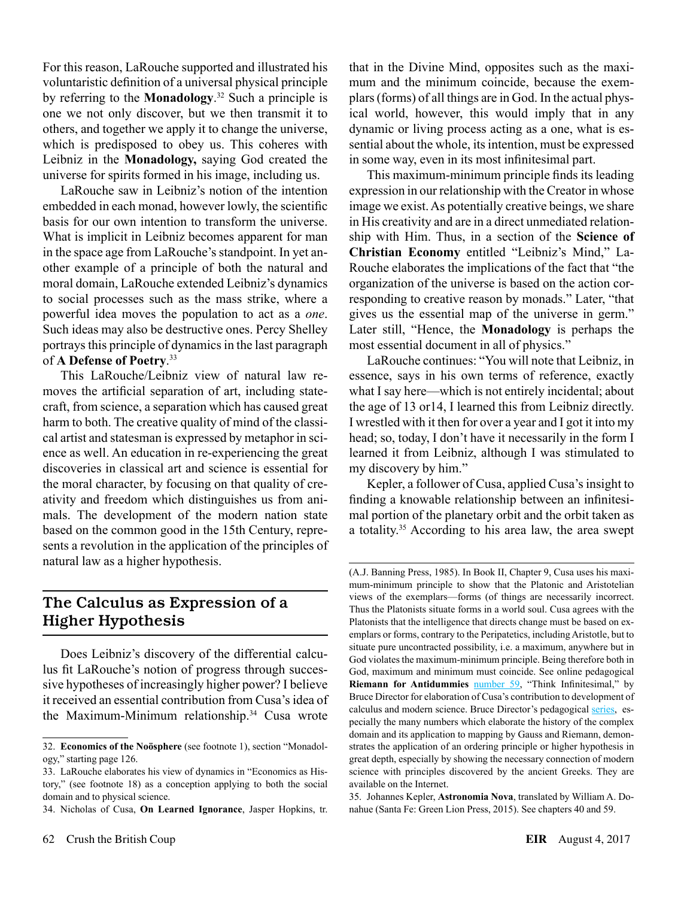For this reason, LaRouche supported and illustrated his voluntaristic definition of a universal physical principle by referring to the **Monadology**. 32 Such a principle is one we not only discover, but we then transmit it to others, and together we apply it to change the universe, which is predisposed to obey us. This coheres with Leibniz in the **Monadology,** saying God created the universe for spirits formed in his image, including us.

LaRouche saw in Leibniz's notion of the intention embedded in each monad, however lowly, the scientific basis for our own intention to transform the universe. What is implicit in Leibniz becomes apparent for man in the space age from LaRouche's standpoint. In yet another example of a principle of both the natural and moral domain, LaRouche extended Leibniz's dynamics to social processes such as the mass strike, where a powerful idea moves the population to act as a *one*. Such ideas may also be destructive ones. Percy Shelley portrays this principle of dynamics in the last paragraph of **A Defense of Poetry**. 33

This LaRouche/Leibniz view of natural law removes the artificial separation of art, including statecraft, from science, a separation which has caused great harm to both. The creative quality of mind of the classical artist and statesman is expressed by metaphor in science as well. An education in re-experiencing the great discoveries in classical art and science is essential for the moral character, by focusing on that quality of creativity and freedom which distinguishes us from animals. The development of the modern nation state based on the common good in the 15th Century, represents a revolution in the application of the principles of natural law as a higher hypothesis.

#### The Calculus as Expression of a Higher Hypothesis

Does Leibniz's discovery of the differential calculus fit LaRouche's notion of progress through successive hypotheses of increasingly higher power? I believe it received an essential contribution from Cusa's idea of the Maximum-Minimum relationship.34 Cusa wrote

that in the Divine Mind, opposites such as the maximum and the minimum coincide, because the exemplars (forms) of all things are in God. In the actual physical world, however, this would imply that in any dynamic or living process acting as a one, what is essential about the whole, its intention, must be expressed in some way, even in its most infinitesimal part.

This maximum-minimum principle finds its leading expression in our relationship with the Creator in whose image we exist. As potentially creative beings, we share in His creativity and are in a direct unmediated relationship with Him. Thus, in a section of the **Science of Christian Economy** entitled "Leibniz's Mind," La-Rouche elaborates the implications of the fact that "the organization of the universe is based on the action corresponding to creative reason by monads." Later, "that gives us the essential map of the universe in germ." Later still, "Hence, the **Monadology** is perhaps the most essential document in all of physics."

LaRouche continues: "You will note that Leibniz, in essence, says in his own terms of reference, exactly what I say here—which is not entirely incidental; about the age of 13 or14, I learned this from Leibniz directly. I wrestled with it then for over a year and I got it into my head; so, today, I don't have it necessarily in the form I learned it from Leibniz, although I was stimulated to my discovery by him."

Kepler, a follower of Cusa, applied Cusa's insight to finding a knowable relationship between an infinitesimal portion of the planetary orbit and the orbit taken as a totality.35 According to his area law, the area swept

<sup>32.</sup> **Economics of the Noösphere** (see footnote 1), section "Monadology," starting page 126.

<sup>33.</sup> LaRouche elaborates his view of dynamics in "Economics as History," (see footnote 18) as a conception applying to both the social domain and to physical science.

<sup>34.</sup> Nicholas of Cusa, **On Learned Ignorance**, Jasper Hopkins, tr.

<sup>(</sup>A.J. Banning Press, 1985). In Book II, Chapter 9, Cusa uses his maximum-minimum principle to show that the Platonic and Aristotelian views of the exemplars—forms (of things are necessarily incorrect. Thus the Platonists situate forms in a world soul. Cusa agrees with the Platonists that the intelligence that directs change must be based on exemplars or forms, contrary to the Peripatetics, including Aristotle, but to situate pure uncontracted possibility, i.e. a maximum, anywhere but in God violates the maximum-minimum principle. Being therefore both in God, maximum and minimum must coincide. See online pedagogical **Riemann for Antidummies** [number 59](http://www.wlym.com/antidummies/part59.html), "Think Infinitesimal," by Bruce Director for elaboration of Cusa's contribution to development of calculus and modern science. Bruce Director's pedagogical [series,](http://lymcanada.org/riemman-for-anti-dummies/) especially the many numbers which elaborate the history of the complex domain and its application to mapping by Gauss and Riemann, demonstrates the application of an ordering principle or higher hypothesis in great depth, especially by showing the necessary connection of modern science with principles discovered by the ancient Greeks. They are available on the Internet.

<sup>35.</sup> Johannes Kepler, **Astronomia Nova**, translated by William A. Donahue (Santa Fe: Green Lion Press, 2015). See chapters 40 and 59.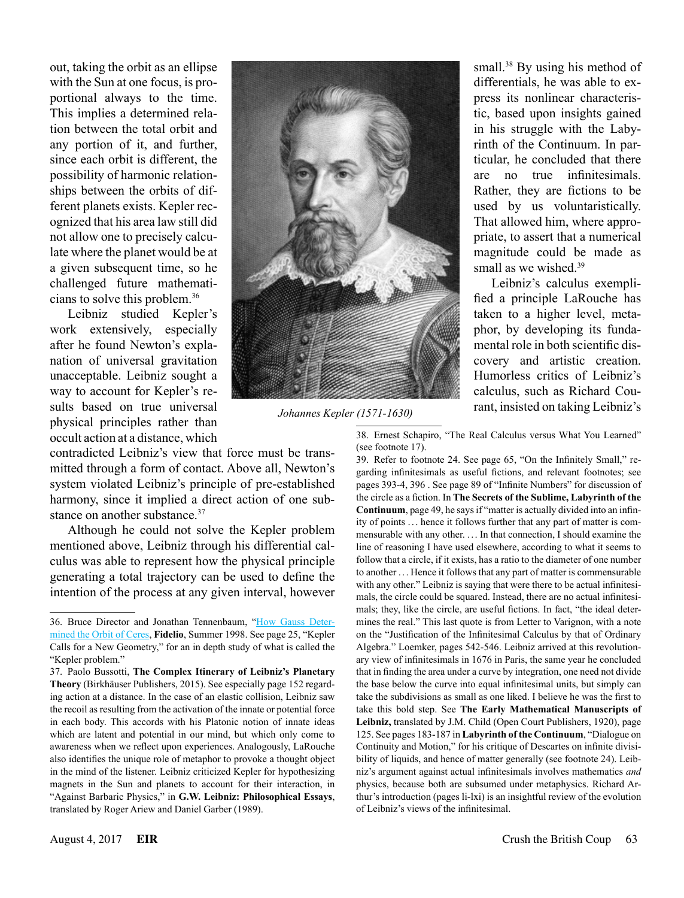out, taking the orbit as an ellipse with the Sun at one focus, is proportional always to the time. This implies a determined relation between the total orbit and any portion of it, and further, since each orbit is different, the possibility of harmonic relationships between the orbits of different planets exists. Kepler recognized that his area law still did not allow one to precisely calculate where the planet would be at a given subsequent time, so he challenged future mathematicians to solve this problem.36

Leibniz studied Kepler's work extensively, especially after he found Newton's explanation of universal gravitation unacceptable. Leibniz sought a way to account for Kepler's results based on true universal physical principles rather than occult action at a distance, which

contradicted Leibniz's view that force must be transmitted through a form of contact. Above all, Newton's system violated Leibniz's principle of pre-established harmony, since it implied a direct action of one substance on another substance.<sup>37</sup>

Although he could not solve the Kepler problem mentioned above, Leibniz through his differential calculus was able to represent how the physical principle generating a total trajectory can be used to define the intention of the process at any given interval, however



*Johannes Kepler (1571-1630)*

small.<sup>38</sup> By using his method of differentials, he was able to express its nonlinear characteristic, based upon insights gained in his struggle with the Labyrinth of the Continuum. In particular, he concluded that there are no true infinitesimals. Rather, they are fictions to be used by us voluntaristically. That allowed him, where appropriate, to assert that a numerical magnitude could be made as small as we wished  $39$ 

Leibniz's calculus exemplified a principle LaRouche has taken to a higher level, metaphor, by developing its fundamental role in both scientific discovery and artistic creation. Humorless critics of Leibniz's calculus, such as Richard Courant, insisted on taking Leibniz's

38. Ernest Schapiro, "The Real Calculus versus What You Learned" (see footnote 17).

39. Refer to footnote 24. See page 65, "On the Infinitely Small," regarding infinitesimals as useful fictions, and relevant footnotes; see pages 393-4, 396 . See page 89 of "Infinite Numbers" for discussion of the circle as a fiction. In **The Secrets of the Sublime, Labyrinth of the Continuum**, page 49, he says if "matter is actually divided into an infinity of points . .. hence it follows further that any part of matter is commensurable with any other. . .. In that connection, I should examine the line of reasoning I have used elsewhere, according to what it seems to follow that a circle, if it exists, has a ratio to the diameter of one number to another . .. Hence it follows that any part of matter is commensurable with any other." Leibniz is saying that were there to be actual infinitesimals, the circle could be squared. Instead, there are no actual infinitesimals; they, like the circle, are useful fictions. In fact, "the ideal determines the real." This last quote is from Letter to Varignon, with a note on the "Justification of the Infinitesimal Calculus by that of Ordinary Algebra." Loemker, pages 542-546. Leibniz arrived at this revolutionary view of infinitesimals in 1676 in Paris, the same year he concluded that in finding the area under a curve by integration, one need not divide the base below the curve into equal infinitesimal units, but simply can take the subdivisions as small as one liked. I believe he was the first to take this bold step. See **The Early Mathematical Manuscripts of Leibniz,** translated by J.M. Child (Open Court Publishers, 1920), page 125. See pages 183-187 in **Labyrinth of the Continuum**, "Dialogue on Continuity and Motion," for his critique of Descartes on infinite divisibility of liquids, and hence of matter generally (see footnote 24). Leibniz's argument against actual infinitesimals involves mathematics *and* physics, because both are subsumed under metaphysics. Richard Arthur's introduction (pages li-lxi) is an insightful review of the evolution of Leibniz's views of the infinitesimal.

<sup>36.</sup> Bruce Director and Jonathan Tennenbaum, "[How Gauss Deter](http://www.schillerinstitute.org/fid_97-01/982_Gauss_Ceres.html)[mined the Orbit of Ceres,](http://www.schillerinstitute.org/fid_97-01/982_Gauss_Ceres.html) **Fidelio**, Summer 1998. See page 25, "Kepler Calls for a New Geometry," for an in depth study of what is called the "Kepler problem."

<sup>37.</sup> Paolo Bussotti, **The Complex Itinerary of Leibniz's Planetary Theory** (Birkhäuser Publishers, 2015). See especially page 152 regarding action at a distance. In the case of an elastic collision, Leibniz saw the recoil as resulting from the activation of the innate or potential force in each body. This accords with his Platonic notion of innate ideas which are latent and potential in our mind, but which only come to awareness when we reflect upon experiences. Analogously, LaRouche also identifies the unique role of metaphor to provoke a thought object in the mind of the listener. Leibniz criticized Kepler for hypothesizing magnets in the Sun and planets to account for their interaction, in "Against Barbaric Physics," in **G.W. Leibniz: Philosophical Essays**, translated by Roger Ariew and Daniel Garber (1989).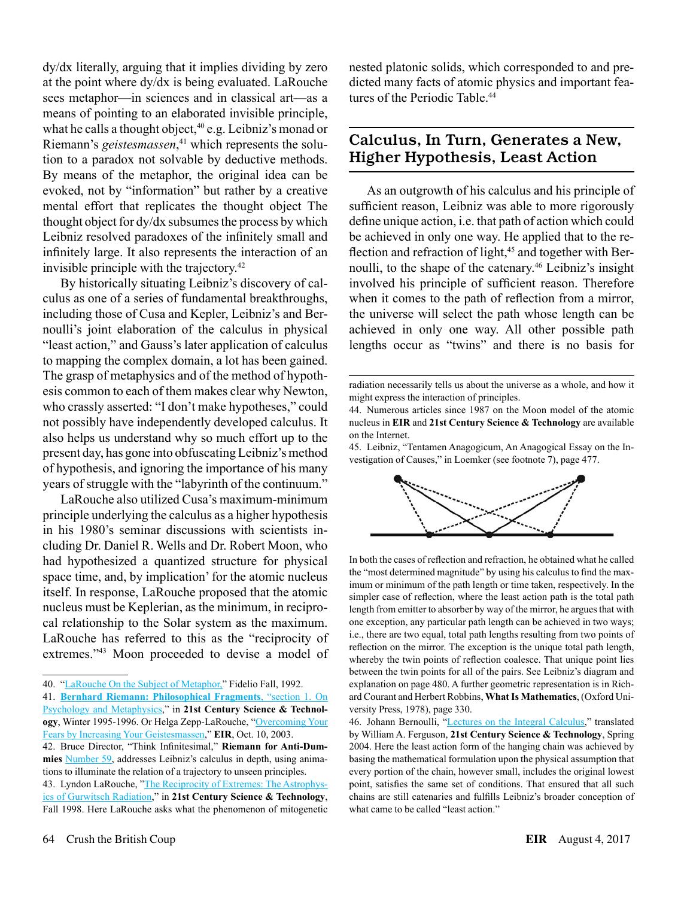dy/dx literally, arguing that it implies dividing by zero at the point where dy/dx is being evaluated. LaRouche sees metaphor—in sciences and in classical art—as a means of pointing to an elaborated invisible principle, what he calls a thought object,  $40$  e.g. Leibniz's monad or Riemann's *geistesmassen*, 41 which represents the solution to a paradox not solvable by deductive methods. By means of the metaphor, the original idea can be evoked, not by "information" but rather by a creative mental effort that replicates the thought object The thought object for dy/dx subsumes the process by which Leibniz resolved paradoxes of the infinitely small and infinitely large. It also represents the interaction of an invisible principle with the trajectory.42

By historically situating Leibniz's discovery of calculus as one of a series of fundamental breakthroughs, including those of Cusa and Kepler, Leibniz's and Bernoulli's joint elaboration of the calculus in physical "least action," and Gauss's later application of calculus to mapping the complex domain, a lot has been gained. The grasp of metaphysics and of the method of hypothesis common to each of them makes clear why Newton, who crassly asserted: "I don't make hypotheses," could not possibly have independently developed calculus. It also helps us understand why so much effort up to the present day, has gone into obfuscating Leibniz's method of hypothesis, and ignoring the importance of his many years of struggle with the "labyrinth of the continuum."

LaRouche also utilized Cusa's maximum-minimum principle underlying the calculus as a higher hypothesis in his 1980's seminar discussions with scientists including Dr. Daniel R. Wells and Dr. Robert Moon, who had hypothesized a quantized structure for physical space time, and, by implication' for the atomic nucleus itself. In response, LaRouche proposed that the atomic nucleus must be Keplerian, as the minimum, in reciprocal relationship to the Solar system as the maximum. LaRouche has referred to this as the "reciprocity of extremes."43 Moon proceeded to devise a model of

42. Bruce Director, "Think Infinitesimal," **Riemann for Anti-Dummies** [Number 59](http://www.wlym.com/antidummies/part59.html), addresses Leibniz's calculus in depth, using animations to illuminate the relation of a trajectory to unseen principles. 43. Lyndon LaRouche, "[The Reciprocity of Extremes: The Astrophys](http://www.21stcenturysciencetech.com/Articles_2010/weak_forces/The%20Astrophysics%20of%20Gurwitsch%20Radiation_LHL_Fall%201998.pdf)[ics of Gurwitsch Radiation,](http://www.21stcenturysciencetech.com/Articles_2010/weak_forces/The%20Astrophysics%20of%20Gurwitsch%20Radiation_LHL_Fall%201998.pdf)" in **21st Century Science & Technology**, Fall 1998. Here LaRouche asks what the phenomenon of mitogenetic nested platonic solids, which corresponded to and predicted many facts of atomic physics and important features of the Periodic Table.<sup>44</sup>

#### Calculus, In Turn, Generates a New, Higher Hypothesis, Least Action

As an outgrowth of his calculus and his principle of sufficient reason, Leibniz was able to more rigorously define unique action, i.e. that path of action which could be achieved in only one way. He applied that to the reflection and refraction of light,<sup>45</sup> and together with Bernoulli, to the shape of the catenary.<sup>46</sup> Leibniz's insight involved his principle of sufficient reason. Therefore when it comes to the path of reflection from a mirror, the universe will select the path whose length can be achieved in only one way. All other possible path lengths occur as "twins" and there is no basis for

<sup>45.</sup> Leibniz, "Tentamen Anagogicum, An Anagogical Essay on the Investigation of Causes," in Loemker (see footnote 7), page 477.



In both the cases of reflection and refraction, he obtained what he called the "most determined magnitude" by using his calculus to find the maximum or minimum of the path length or time taken, respectively. In the simpler case of reflection, where the least action path is the total path length from emitter to absorber by way of the mirror, he argues that with one exception, any particular path length can be achieved in two ways; i.e., there are two equal, total path lengths resulting from two points of reflection on the mirror. The exception is the unique total path length, whereby the twin points of reflection coalesce. That unique point lies between the twin points for all of the pairs. See Leibniz's diagram and explanation on page 480. A further geometric representation is in Richard Courant and Herbert Robbins, **What Is Mathematics**, (Oxford University Press, 1978), page 330.

46. Johann Bernoulli, "[Lectures on the Integral Calculus](http://www.21stcenturysciencetech.com/translations/Bernoulli.pdf)," translated by William A. Ferguson, **21st Century Science & Technology**, Spring 2004. Here the least action form of the hanging chain was achieved by basing the mathematical formulation upon the physical assumption that every portion of the chain, however small, includes the original lowest point, satisfies the same set of conditions. That ensured that all such chains are still catenaries and fulfills Leibniz's broader conception of what came to be called "least action."

<sup>40.</sup> "[LaRouche On the Subject of Metaphor,](https://www.schillerinstitute.org/fid_91-96/fid_923_lhl_metaphor.html)" Fidelio Fall, 1992.

<sup>41.</sup> **[Bernhard Riemann: Philosophical Fragments](http://www.21stcenturysciencetech.com/articles/Winter_1995/Philosophical_Fragments.pdf)**, "section 1. On [Psychology and Metaphysics,](http://www.21stcenturysciencetech.com/articles/Winter_1995/Philosophical_Fragments.pdf)" in **21st Century Science & Technology**, Winter 1995-1996. Or Helga Zepp-LaRouche, ["Overcoming Your](http://www.larouchepub.com/eiw/public/2003/eirv30n39-20031010/eirv30n39-20031010_030-herbart_and_riemann_on_the_mind-hzl.pdf) [Fears by Increasing Your Geistesmassen](http://www.larouchepub.com/eiw/public/2003/eirv30n39-20031010/eirv30n39-20031010_030-herbart_and_riemann_on_the_mind-hzl.pdf)," **EIR**, Oct. 10, 2003.

radiation necessarily tells us about the universe as a whole, and how it might express the interaction of principles.

<sup>44.</sup> Numerous articles since 1987 on the Moon model of the atomic nucleus in **EIR** and **21st Century Science & Technology** are available on the Internet.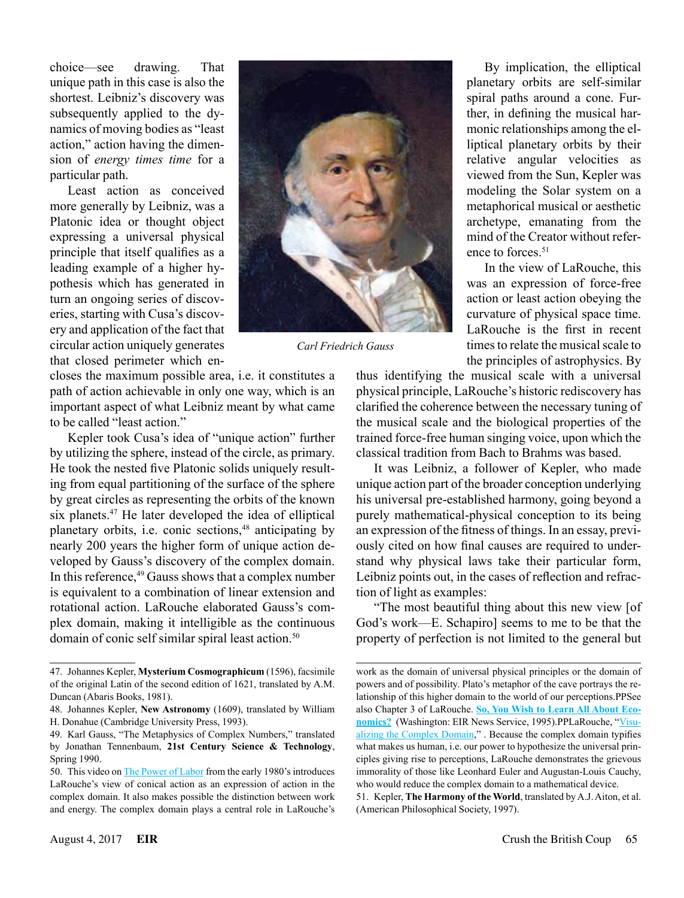choice—see drawing. That unique path in this case is also the shortest. Leibniz's discovery was subsequently applied to the dynamics of moving bodies as "least action," action having the dimension of *energy times time* for a particular path.

Least action as conceived more generally by Leibniz, was a Platonic idea or thought object expressing a universal physical principle that itself qualifies as a leading example of a higher hypothesis which has generated in turn an ongoing series of discoveries, starting with Cusa's discovery and application of the fact that circular action uniquely generates that closed perimeter which en-



*Carl Friedrich Gauss*

closes the maximum possible area, i.e. it constitutes a path of action achievable in only one way, which is an important aspect of what Leibniz meant by what came to be called "least action."

Kepler took Cusa's idea of "unique action" further by utilizing the sphere, instead of the circle, as primary. He took the nested five Platonic solids uniquely resulting from equal partitioning of the surface of the sphere by great circles as representing the orbits of the known six planets.<sup>47</sup> He later developed the idea of elliptical planetary orbits, i.e. conic sections,<sup>48</sup> anticipating by nearly 200 years the higher form of unique action developed by Gauss's discovery of the complex domain. In this reference, $49$  Gauss shows that a complex number is equivalent to a combination of linear extension and rotational action. LaRouche elaborated Gauss's complex domain, making it intelligible as the continuous domain of conic self similar spiral least action.<sup>50</sup>

By implication, the elliptical planetary orbits are self-similar spiral paths around a cone. Further, in defining the musical harmonic relationships among the elliptical planetary orbits by their relative angular velocities as viewed from the Sun, Kepler was modeling the Solar system on a metaphorical musical or aesthetic archetype, emanating from the mind of the Creator without reference to forces.<sup>51</sup>

In the view of LaRouche, this was an expression of force-free action or least action obeying the curvature of physical space time. LaRouche is the first in recent times to relate the musical scale to the principles of astrophysics. By

thus identifying the musical scale with a universal physical principle, LaRouche's historic rediscovery has clarified the coherence between the necessary tuning of the musical scale and the biological properties of the trained force-free human singing voice, upon which the classical tradition from Bach to Brahms was based.

It was Leibniz, a follower of Kepler, who made unique action part of the broader conception underlying his universal pre-established harmony, going beyond a purely mathematical-physical conception to its being an expression of the fitness of things. In an essay, previously cited on how final causes are required to understand why physical laws take their particular form, Leibniz points out, in the cases of reflection and refraction of light as examples:

"The most beautiful thing about this new view [of God's work—E. Schapiro] seems to me to be that the property of perfection is not limited to the general but

<sup>47.</sup> Johannes Kepler, **Mysterium Cosmographicum** (1596), facsimile of the original Latin of the second edition of 1621, translated by A.M. Duncan (Abaris Books, 1981).

<sup>48.</sup> Johannes Kepler, **New Astronomy** (1609), translated by William H. Donahue (Cambridge University Press, 1993).

<sup>49.</sup> Karl Gauss, "The Metaphysics of Complex Numbers," translated by Jonathan Tennenbaum, **21st Century Science & Technology**, Spring 1990.

<sup>50.</sup> This video on [The Power of Labor](https://www.youtube.com/watch?time_continue=13&v=Ja4KZqt3E88) from the early 1980's introduces LaRouche's view of conical action as an expression of action in the complex domain. It also makes possible the distinction between work and energy. The complex domain plays a central role in LaRouche's

work as the domain of universal physical principles or the domain of powers and of possibility. Plato's metaphor of the cave portrays the relationship of this higher domain to the world of our perceptions.PPSee also Chapter 3 of LaRouche. **[So, You Wish to Learn All About Eco](https://store.larouchepub.com/product-p/eirbk-1984-3-0-0-kindle.htm)[nomics?](https://store.larouchepub.com/product-p/eirbk-1984-3-0-0-kindle.htm)** (Washington: EIR News Service, 1995).PPLaRouche, "[Visu](http://www.larouchepub.com/lar/2003/3027complex_domain.html)[alizing the Complex Domain](http://www.larouchepub.com/lar/2003/3027complex_domain.html)," . Because the complex domain typifies what makes us human, i.e. our power to hypothesize the universal principles giving rise to perceptions, LaRouche demonstrates the grievous immorality of those like Leonhard Euler and Augustan-Louis Cauchy, who would reduce the complex domain to a mathematical device.

<sup>51.</sup> Kepler, **The Harmony of the World**, translated by A.J. Aiton, et al. (American Philosophical Society, 1997).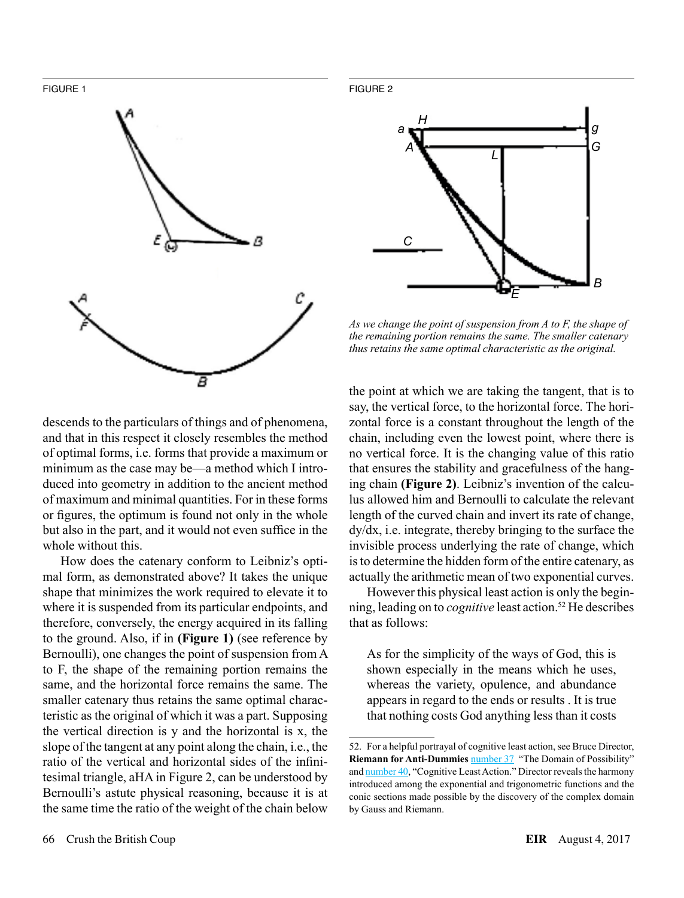FIGURE 1



FIGURE 2



*As we change the point of suspension from A to F, the shape of the remaining portion remains the same. The smaller catenary thus retains the same optimal characteristic as the original.*

descends to the particulars of things and of phenomena, and that in this respect it closely resembles the method of optimal forms, i.e. forms that provide a maximum or minimum as the case may be—a method which I introduced into geometry in addition to the ancient method of maximum and minimal quantities. For in these forms or figures, the optimum is found not only in the whole but also in the part, and it would not even suffice in the whole without this.

How does the catenary conform to Leibniz's optimal form, as demonstrated above? It takes the unique shape that minimizes the work required to elevate it to where it is suspended from its particular endpoints, and therefore, conversely, the energy acquired in its falling to the ground. Also, if in **(Figure 1)** (see reference by Bernoulli), one changes the point of suspension from A to F, the shape of the remaining portion remains the same, and the horizontal force remains the same. The smaller catenary thus retains the same optimal characteristic as the original of which it was a part. Supposing the vertical direction is y and the horizontal is x, the slope of the tangent at any point along the chain, i.e., the ratio of the vertical and horizontal sides of the infinitesimal triangle, aHA in Figure 2, can be understood by Bernoulli's astute physical reasoning, because it is at the same time the ratio of the weight of the chain below

the point at which we are taking the tangent, that is to say, the vertical force, to the horizontal force. The horizontal force is a constant throughout the length of the chain, including even the lowest point, where there is no vertical force. It is the changing value of this ratio that ensures the stability and gracefulness of the hanging chain **(Figure 2)**. Leibniz's invention of the calculus allowed him and Bernoulli to calculate the relevant length of the curved chain and invert its rate of change, dy/dx, i.e. integrate, thereby bringing to the surface the invisible process underlying the rate of change, which is to determine the hidden form of the entire catenary, as actually the arithmetic mean of two exponential curves.

However this physical least action is only the beginning, leading on to *cognitive* least action.<sup>52</sup> He describes that as follows:

As for the simplicity of the ways of God, this is shown especially in the means which he uses, whereas the variety, opulence, and abundance appears in regard to the ends or results . It is true that nothing costs God anything less than it costs

<sup>52.</sup> For a helpful portrayal of cognitive least action, see Bruce Director, **Riemann for Anti-Dummies** [number 37](http://lymcanada.org/37) "The Domain of Possibility" and [number 40,](http://lymcanada.org/40/) "Cognitive Least Action." Director reveals the harmony introduced among the exponential and trigonometric functions and the conic sections made possible by the discovery of the complex domain by Gauss and Riemann.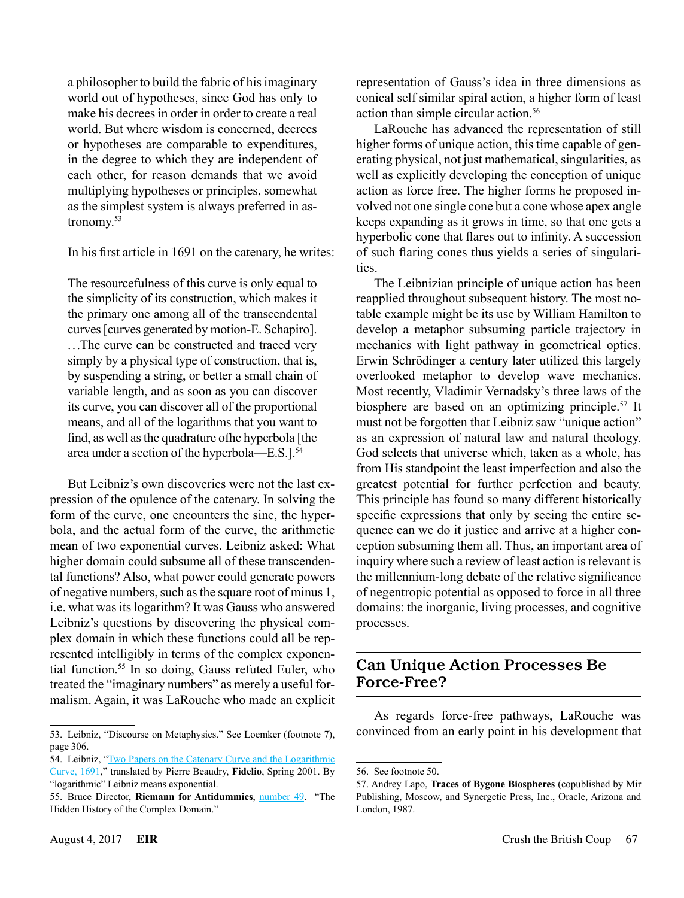a philosopher to build the fabric of his imaginary world out of hypotheses, since God has only to make his decrees in order in order to create a real world. But where wisdom is concerned, decrees or hypotheses are comparable to expenditures, in the degree to which they are independent of each other, for reason demands that we avoid multiplying hypotheses or principles, somewhat as the simplest system is always preferred in astronomy.<sup>53</sup>

In his first article in 1691 on the catenary, he writes:

The resourcefulness of this curve is only equal to the simplicity of its construction, which makes it the primary one among all of the transcendental curves [curves generated by motion-E. Schapiro]. ...The curve can be constructed and traced very simply by a physical type of construction, that is, by suspending a string, or better a small chain of variable length, and as soon as you can discover its curve, you can discover all of the proportional means, and all of the logarithms that you want to find, as well as the quadrature ofhe hyperbola [the area under a section of the hyperbola—E.S.].<sup>54</sup>

But Leibniz's own discoveries were not the last expression of the opulence of the catenary. In solving the form of the curve, one encounters the sine, the hyperbola, and the actual form of the curve, the arithmetic mean of two exponential curves. Leibniz asked: What higher domain could subsume all of these transcendental functions? Also, what power could generate powers of negative numbers, such as the square root of minus 1, i.e. what was its logarithm? It was Gauss who answered Leibniz's questions by discovering the physical complex domain in which these functions could all be represented intelligibly in terms of the complex exponential function.55 In so doing, Gauss refuted Euler, who treated the "imaginary numbers" as merely a useful formalism. Again, it was LaRouche who made an explicit

LaRouche has advanced the representation of still higher forms of unique action, this time capable of generating physical, not just mathematical, singularities, as well as explicitly developing the conception of unique action as force free. The higher forms he proposed involved not one single cone but a cone whose apex angle keeps expanding as it grows in time, so that one gets a hyperbolic cone that flares out to infinity. A succession of such flaring cones thus yields a series of singularities.

The Leibnizian principle of unique action has been reapplied throughout subsequent history. The most notable example might be its use by William Hamilton to develop a metaphor subsuming particle trajectory in mechanics with light pathway in geometrical optics. Erwin Schrödinger a century later utilized this largely overlooked metaphor to develop wave mechanics. Most recently, Vladimir Vernadsky's three laws of the biosphere are based on an optimizing principle.<sup>57</sup> It must not be forgotten that Leibniz saw "unique action" as an expression of natural law and natural theology. God selects that universe which, taken as a whole, has from His standpoint the least imperfection and also the greatest potential for further perfection and beauty. This principle has found so many different historically specific expressions that only by seeing the entire sequence can we do it justice and arrive at a higher conception subsuming them all. Thus, an important area of inquiry where such a review of least action is relevant is the millennium-long debate of the relative significance of negentropic potential as opposed to force in all three domains: the inorganic, living processes, and cognitive processes.

#### Can Unique Action Processes Be Force-Free?

As regards force-free pathways, LaRouche was convinced from an early point in his development that

<sup>53.</sup> Leibniz, "Discourse on Metaphysics." See Loemker (footnote 7), page 306.

<sup>54.</sup> Leibniz, ["Two Papers on the Catenary Curve and the Logarithmic](http://www.schillerinstitute.org/fid_97-01/011_catenary.html) [Curve, 1691](http://www.schillerinstitute.org/fid_97-01/011_catenary.html)," translated by Pierre Beaudry, **Fidelio**, Spring 2001. By "logarithmic" Leibniz means exponential.

<sup>55.</sup> Bruce Director, **Riemann for Antidummies**, [number 49](http://lymcanada.org/49/). "The Hidden History of the Complex Domain."

<sup>56.</sup> See footnote 50.

<sup>57.</sup> Andrey Lapo, **Traces of Bygone Biospheres** (copublished by Mir Publishing, Moscow, and Synergetic Press, Inc., Oracle, Arizona and London, 1987.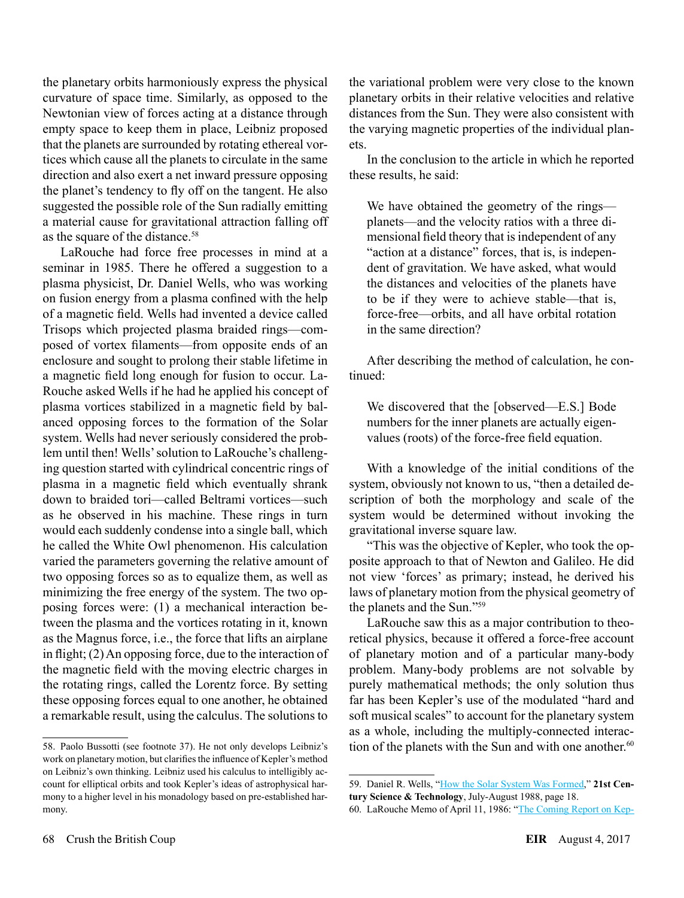the planetary orbits harmoniously express the physical curvature of space time. Similarly, as opposed to the Newtonian view of forces acting at a distance through empty space to keep them in place, Leibniz proposed that the planets are surrounded by rotating ethereal vortices which cause all the planets to circulate in the same direction and also exert a net inward pressure opposing the planet's tendency to fly off on the tangent. He also suggested the possible role of the Sun radially emitting a material cause for gravitational attraction falling off as the square of the distance.<sup>58</sup>

LaRouche had force free processes in mind at a seminar in 1985. There he offered a suggestion to a plasma physicist, Dr. Daniel Wells, who was working on fusion energy from a plasma confined with the help of a magnetic field. Wells had invented a device called Trisops which projected plasma braided rings—composed of vortex filaments—from opposite ends of an enclosure and sought to prolong their stable lifetime in a magnetic field long enough for fusion to occur. La-Rouche asked Wells if he had he applied his concept of plasma vortices stabilized in a magnetic field by balanced opposing forces to the formation of the Solar system. Wells had never seriously considered the problem until then! Wells' solution to LaRouche's challenging question started with cylindrical concentric rings of plasma in a magnetic field which eventually shrank down to braided tori—called Beltrami vortices—such as he observed in his machine. These rings in turn would each suddenly condense into a single ball, which he called the White Owl phenomenon. His calculation varied the parameters governing the relative amount of two opposing forces so as to equalize them, as well as minimizing the free energy of the system. The two opposing forces were: (1) a mechanical interaction between the plasma and the vortices rotating in it, known as the Magnus force, i.e., the force that lifts an airplane in flight; (2) An opposing force, due to the interaction of the magnetic field with the moving electric charges in the rotating rings, called the Lorentz force. By setting these opposing forces equal to one another, he obtained a remarkable result, using the calculus. The solutions to

the variational problem were very close to the known planetary orbits in their relative velocities and relative distances from the Sun. They were also consistent with the varying magnetic properties of the individual planets.

In the conclusion to the article in which he reported these results, he said:

We have obtained the geometry of the rings planets—and the velocity ratios with a three dimensional field theory that is independent of any "action at a distance" forces, that is, is independent of gravitation. We have asked, what would the distances and velocities of the planets have to be if they were to achieve stable—that is, force-free—orbits, and all have orbital rotation in the same direction?

After describing the method of calculation, he continued:

We discovered that the [observed—E.S.] Bode numbers for the inner planets are actually eigenvalues (roots) of the force-free field equation.

With a knowledge of the initial conditions of the system, obviously not known to us, "then a detailed description of both the morphology and scale of the system would be determined without invoking the gravitational inverse square law.

"This was the objective of Kepler, who took the opposite approach to that of Newton and Galileo. He did not view 'forces' as primary; instead, he derived his laws of planetary motion from the physical geometry of the planets and the Sun."59

LaRouche saw this as a major contribution to theoretical physics, because it offered a force-free account of planetary motion and of a particular many-body problem. Many-body problems are not solvable by purely mathematical methods; the only solution thus far has been Kepler's use of the modulated "hard and soft musical scales" to account for the planetary system as a whole, including the multiply-connected interaction of the planets with the Sun and with one another.<sup>60</sup>

<sup>58.</sup> Paolo Bussotti (see footnote 37). He not only develops Leibniz's work on planetary motion, but clarifies the influence of Kepler's method on Leibniz's own thinking. Leibniz used his calculus to intelligibly account for elliptical orbits and took Kepler's ideas of astrophysical harmony to a higher level in his monadology based on pre-established harmony.

<sup>59.</sup> Daniel R. Wells, "[How the Solar System Was Formed,](http://www.wlym.com/archive/fusion/tcs/19880708-TCS.pdf)" **21st Century Science & Technology**, July-August 1988, page 18.

<sup>60.</sup> LaRouche Memo of April 11, 1986: ["The Coming Report on Kep-](http://amatterofmind.org/Pierres_PDFs/LAROUCHE%20REPORTS/LYNDON_LAROUCHE,_PRIVATE_INFORMATION_CONCERNING.pdf)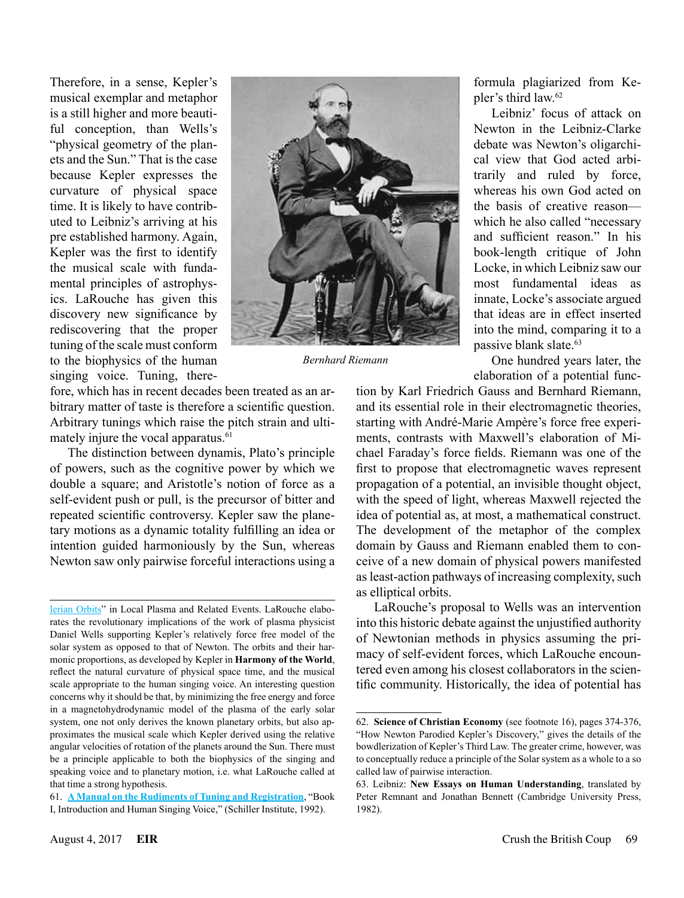Therefore, in a sense, Kepler's musical exemplar and metaphor is a still higher and more beautiful conception, than Wells's "physical geometry of the planets and the Sun." That is the case because Kepler expresses the curvature of physical space time. It is likely to have contributed to Leibniz's arriving at his pre established harmony. Again, Kepler was the first to identify the musical scale with fundamental principles of astrophysics. LaRouche has given this discovery new significance by rediscovering that the proper tuning of the scale must conform to the biophysics of the human singing voice. Tuning, there-



*Bernhard Riemann*

fore, which has in recent decades been treated as an arbitrary matter of taste is therefore a scientific question. Arbitrary tunings which raise the pitch strain and ultimately injure the vocal apparatus.<sup>61</sup>

The distinction between dynamis, Plato's principle of powers, such as the cognitive power by which we double a square; and Aristotle's notion of force as a self-evident push or pull, is the precursor of bitter and repeated scientific controversy. Kepler saw the planetary motions as a dynamic totality fulfilling an idea or intention guided harmoniously by the Sun, whereas Newton saw only pairwise forceful interactions using a formula plagiarized from Kepler's third law.62

Leibniz' focus of attack on Newton in the Leibniz-Clarke debate was Newton's oligarchical view that God acted arbitrarily and ruled by force, whereas his own God acted on the basis of creative reason which he also called "necessary and sufficient reason." In his book-length critique of John Locke, in which Leibniz saw our most fundamental ideas as innate, Locke's associate argued that ideas are in effect inserted into the mind, comparing it to a passive blank slate.<sup>63</sup>

One hundred years later, the elaboration of a potential func-

tion by Karl Friedrich Gauss and Bernhard Riemann, and its essential role in their electromagnetic theories, starting with André-Marie Ampère's force free experiments, contrasts with Maxwell's elaboration of Michael Faraday's force fields. Riemann was one of the first to propose that electromagnetic waves represent propagation of a potential, an invisible thought object, with the speed of light, whereas Maxwell rejected the idea of potential as, at most, a mathematical construct. The development of the metaphor of the complex domain by Gauss and Riemann enabled them to conceive of a new domain of physical powers manifested as least-action pathways of increasing complexity, such as elliptical orbits.

LaRouche's proposal to Wells was an intervention into this historic debate against the unjustified authority of Newtonian methods in physics assuming the primacy of self-evident forces, which LaRouche encountered even among his closest collaborators in the scientific community. Historically, the idea of potential has

[lerian Orbits](http://amatterofmind.org/Pierres_PDFs/LAROUCHE%20REPORTS/LYNDON_LAROUCHE,_PRIVATE_INFORMATION_CONCERNING.pdf)" in Local Plasma and Related Events. LaRouche elaborates the revolutionary implications of the work of plasma physicist Daniel Wells supporting Kepler's relatively force free model of the solar system as opposed to that of Newton. The orbits and their harmonic proportions, as developed by Kepler in **Harmony of the World**, reflect the natural curvature of physical space time, and the musical scale appropriate to the human singing voice. An interesting question concerns why it should be that, by minimizing the free energy and force in a magnetohydrodynamic model of the plasma of the early solar system, one not only derives the known planetary orbits, but also approximates the musical scale which Kepler derived using the relative angular velocities of rotation of the planets around the Sun. There must be a principle applicable to both the biophysics of the singing and speaking voice and to planetary motion, i.e. what LaRouche called at that time a strong hypothesis.

<sup>61.</sup> **[A Manual on the Rudiments of Tuning and Registration](http://store.larouchepub.com/product-p/schdv-2013-1-0-0-std.htm)**, "Book I, Introduction and Human Singing Voice," (Schiller Institute, 1992).

<sup>62.</sup> **Science of Christian Economy** (see footnote 16), pages 374-376, "How Newton Parodied Kepler's Discovery," gives the details of the bowdlerization of Kepler's Third Law. The greater crime, however, was to conceptually reduce a principle of the Solar system as a whole to a so called law of pairwise interaction.

<sup>63.</sup> Leibniz: **New Essays on Human Understanding**, translated by Peter Remnant and Jonathan Bennett (Cambridge University Press, 1982).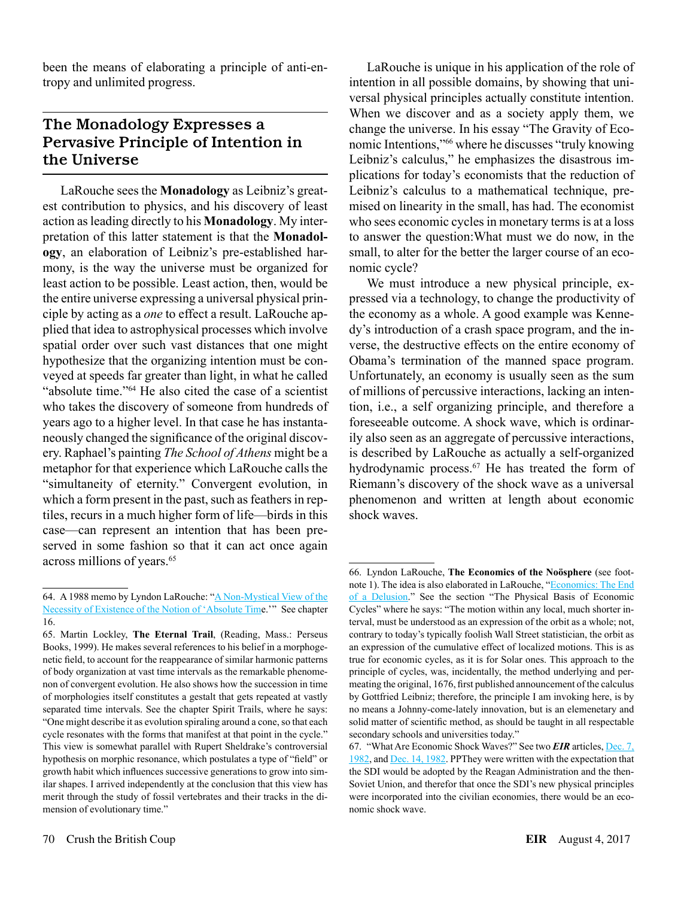been the means of elaborating a principle of anti-entropy and unlimited progress.

## The Monadology Expresses a Pervasive Principle of Intention in the Universe

LaRouche sees the **Monadology** as Leibniz's greatest contribution to physics, and his discovery of least action as leading directly to his **Monadology**. My interpretation of this latter statement is that the **Monadology**, an elaboration of Leibniz's pre-established harmony, is the way the universe must be organized for least action to be possible. Least action, then, would be the entire universe expressing a universal physical principle by acting as a *one* to effect a result. LaRouche applied that idea to astrophysical processes which involve spatial order over such vast distances that one might hypothesize that the organizing intention must be conveyed at speeds far greater than light, in what he called "absolute time."64 He also cited the case of a scientist who takes the discovery of someone from hundreds of years ago to a higher level. In that case he has instantaneously changed the significance of the original discovery. Raphael's painting *The School of Athens* might be a metaphor for that experience which LaRouche calls the "simultaneity of eternity." Convergent evolution, in which a form present in the past, such as feathers in reptiles, recurs in a much higher form of life—birds in this case—can represent an intention that has been preserved in some fashion so that it can act once again across millions of years.<sup>65</sup>

LaRouche is unique in his application of the role of intention in all possible domains, by showing that universal physical principles actually constitute intention. When we discover and as a society apply them, we change the universe. In his essay "The Gravity of Economic Intentions,"66 where he discusses "truly knowing Leibniz's calculus," he emphasizes the disastrous implications for today's economists that the reduction of Leibniz's calculus to a mathematical technique, premised on linearity in the small, has had. The economist who sees economic cycles in monetary terms is at a loss to answer the question:What must we do now, in the small, to alter for the better the larger course of an economic cycle?

We must introduce a new physical principle, expressed via a technology, to change the productivity of the economy as a whole. A good example was Kennedy's introduction of a crash space program, and the inverse, the destructive effects on the entire economy of Obama's termination of the manned space program. Unfortunately, an economy is usually seen as the sum of millions of percussive interactions, lacking an intention, i.e., a self organizing principle, and therefore a foreseeable outcome. A shock wave, which is ordinarily also seen as an aggregate of percussive interactions, is described by LaRouche as actually a self-organized hydrodynamic process.<sup>67</sup> He has treated the form of Riemann's discovery of the shock wave as a universal phenomenon and written at length about economic shock waves.

<sup>64.</sup> A 1988 memo by Lyndon LaRouche: "[A Non-Mystical View of the](http://www.amatterofmind.us/lyndon-larouche-a-non-mystical-view-of-the-necessity-of-existence-of-the-notion-of-absolute-time/)  [Necessity of Existence of the Notion of 'Absolute Tim](http://www.amatterofmind.us/lyndon-larouche-a-non-mystical-view-of-the-necessity-of-existence-of-the-notion-of-absolute-time/)e.'" See chapter 16.

<sup>65.</sup> Martin Lockley, **The Eternal Trail**, (Reading, Mass.: Perseus Books, 1999). He makes several references to his belief in a morphogenetic field, to account for the reappearance of similar harmonic patterns of body organization at vast time intervals as the remarkable phenomenon of convergent evolution. He also shows how the succession in time of morphologies itself constitutes a gestalt that gets repeated at vastly separated time intervals. See the chapter Spirit Trails, where he says: "One might describe it as evolution spiraling around a cone, so that each cycle resonates with the forms that manifest at that point in the cycle." This view is somewhat parallel with Rupert Sheldrake's controversial hypothesis on morphic resonance, which postulates a type of "field" or growth habit which influences successive generations to grow into similar shapes. I arrived independently at the conclusion that this view has merit through the study of fossil vertebrates and their tracks in the dimension of evolutionary time."

<sup>66.</sup> Lyndon LaRouche, **The Economics of the Noösphere** (see footnote 1). The idea is also elaborated in LaRouche, "Economics: The End [of a Delusion.](http://www.larouchepub.com/lar/2002/2905econ_delusion.html)" See the section "The Physical Basis of Economic Cycles" where he says: "The motion within any local, much shorter interval, must be understood as an expression of the orbit as a whole; not, contrary to today's typically foolish Wall Street statistician, the orbit as an expression of the cumulative effect of localized motions. This is as true for economic cycles, as it is for Solar ones. This approach to the principle of cycles, was, incidentally, the method underlying and permeating the original, 1676, first published announcement of the calculus by Gottfried Leibniz; therefore, the principle I am invoking here, is by no means a Johnny-come-lately innovation, but is an elemenetary and solid matter of scientific method, as should be taught in all respectable secondary schools and universities today."

<sup>67.</sup> "What Are Economic Shock Waves?" See two *EIR* articles, [Dec. 7,](http://www.larouchepub.com/eiw/public/1982/eirv09n47-19821207/eirv09n47-19821207_018-what_is_an_economic_shock_wave-lar.pdf)  [1982](http://www.larouchepub.com/eiw/public/1982/eirv09n47-19821207/eirv09n47-19821207_018-what_is_an_economic_shock_wave-lar.pdf), and [Dec. 14, 1982](http://www.larouchepub.com/eiw/public/1982/eirv09n48-19821214/eirv09n48-19821214_006-what_are_economic_shock_waves-lar.pdf). PPThey were written with the expectation that the SDI would be adopted by the Reagan Administration and the then-Soviet Union, and therefor that once the SDI's new physical principles were incorporated into the civilian economies, there would be an economic shock wave.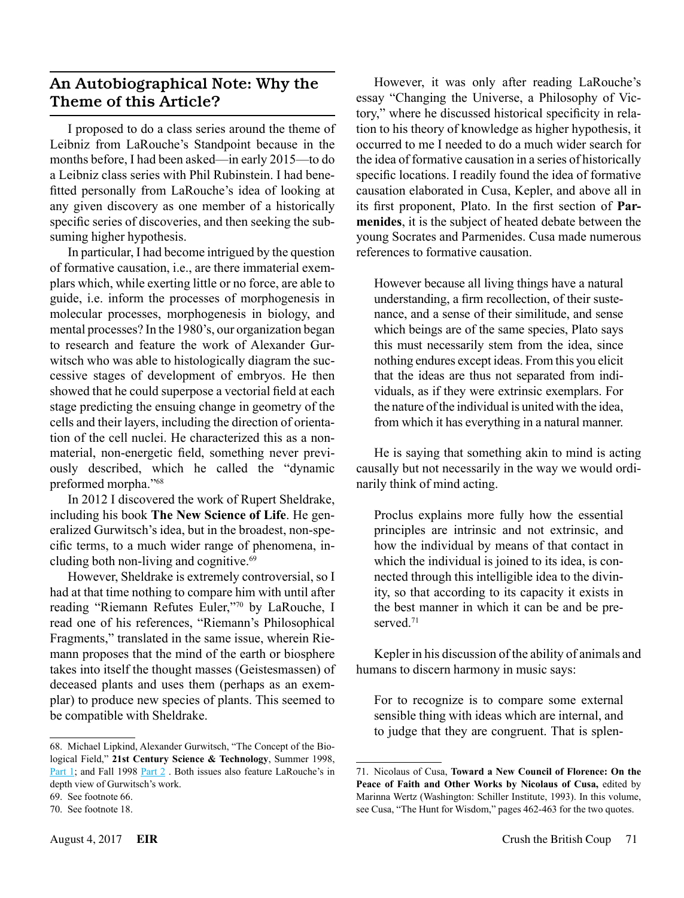#### An Autobiographical Note: Why the Theme of this Article?

I proposed to do a class series around the theme of Leibniz from LaRouche's Standpoint because in the months before, I had been asked—in early 2015—to do a Leibniz class series with Phil Rubinstein. I had benefitted personally from LaRouche's idea of looking at any given discovery as one member of a historically specific series of discoveries, and then seeking the subsuming higher hypothesis.

In particular, I had become intrigued by the question of formative causation, i.e., are there immaterial exemplars which, while exerting little or no force, are able to guide, i.e. inform the processes of morphogenesis in molecular processes, morphogenesis in biology, and mental processes? In the 1980's, our organization began to research and feature the work of Alexander Gurwitsch who was able to histologically diagram the successive stages of development of embryos. He then showed that he could superpose a vectorial field at each stage predicting the ensuing change in geometry of the cells and their layers, including the direction of orientation of the cell nuclei. He characterized this as a nonmaterial, non-energetic field, something never previously described, which he called the "dynamic preformed morpha."68

In 2012 I discovered the work of Rupert Sheldrake, including his book **The New Science of Life**. He generalized Gurwitsch's idea, but in the broadest, non-specific terms, to a much wider range of phenomena, including both non-living and cognitive.69

However, Sheldrake is extremely controversial, so I had at that time nothing to compare him with until after reading "Riemann Refutes Euler,"70 by LaRouche, I read one of his references, "Riemann's Philosophical Fragments," translated in the same issue, wherein Riemann proposes that the mind of the earth or biosphere takes into itself the thought masses (Geistesmassen) of deceased plants and uses them (perhaps as an exemplar) to produce new species of plants. This seemed to be compatible with Sheldrake.

68. Michael Lipkind, Alexander Gurwitsch, "The Concept of the Biological Field," **21st Century Science & Technology**, Summer 1998, [Part 1;](http://www.21stcenturysciencetech.com/Subscriptions/Archive/1998_S.pdf) and Fall 1998 [Part 2](http://www.21stcenturysciencetech.com/Subscriptions/Archive/1998_F.pdf). Both issues also feature LaRouche's in depth view of Gurwitsch's work.

However, it was only after reading LaRouche's essay "Changing the Universe, a Philosophy of Victory," where he discussed historical specificity in relation to his theory of knowledge as higher hypothesis, it occurred to me I needed to do a much wider search for the idea of formative causation in a series of historically specific locations. I readily found the idea of formative causation elaborated in Cusa, Kepler, and above all in its first proponent, Plato. In the first section of **Parmenides**, it is the subject of heated debate between the young Socrates and Parmenides. Cusa made numerous references to formative causation.

However because all living things have a natural understanding, a firm recollection, of their sustenance, and a sense of their similitude, and sense which beings are of the same species, Plato says this must necessarily stem from the idea, since nothing endures except ideas. From this you elicit that the ideas are thus not separated from individuals, as if they were extrinsic exemplars. For the nature of the individual is united with the idea, from which it has everything in a natural manner.

He is saying that something akin to mind is acting causally but not necessarily in the way we would ordinarily think of mind acting.

Proclus explains more fully how the essential principles are intrinsic and not extrinsic, and how the individual by means of that contact in which the individual is joined to its idea, is connected through this intelligible idea to the divinity, so that according to its capacity it exists in the best manner in which it can be and be preserved<sup>71</sup>

Kepler in his discussion of the ability of animals and humans to discern harmony in music says:

For to recognize is to compare some external sensible thing with ideas which are internal, and to judge that they are congruent. That is splen-

<sup>69.</sup> See footnote 66.

<sup>70.</sup> See footnote 18.

<sup>71.</sup> Nicolaus of Cusa, **Toward a New Council of Florence: On the Peace of Faith and Other Works by Nicolaus of Cusa,** edited by Marinna Wertz (Washington: Schiller Institute, 1993). In this volume, see Cusa, "The Hunt for Wisdom," pages 462-463 for the two quotes.